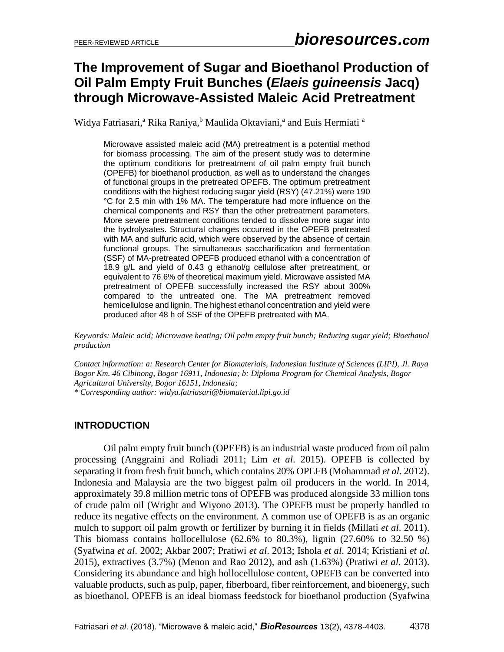# **The Improvement of Sugar and Bioethanol Production of Oil Palm Empty Fruit Bunches (***Elaeis guineensis* **Jacq) through Microwave-Assisted Maleic Acid Pretreatment**

Widya Fatriasari,<sup>a</sup> Rika Raniya, <sup>b</sup> Maulida Oktaviani,<sup>a</sup> and Euis Hermiati <sup>a</sup>

Microwave assisted maleic acid (MA) pretreatment is a potential method for biomass processing. The aim of the present study was to determine the optimum conditions for pretreatment of oil palm empty fruit bunch (OPEFB) for bioethanol production, as well as to understand the changes of functional groups in the pretreated OPEFB. The optimum pretreatment conditions with the highest reducing sugar yield (RSY) (47.21%) were 190 °C for 2.5 min with 1% MA. The temperature had more influence on the chemical components and RSY than the other pretreatment parameters. More severe pretreatment conditions tended to dissolve more sugar into the hydrolysates. Structural changes occurred in the OPEFB pretreated with MA and sulfuric acid, which were observed by the absence of certain functional groups. The simultaneous saccharification and fermentation (SSF) of MA-pretreated OPEFB produced ethanol with a concentration of 18.9 g/L and yield of 0.43 g ethanol/g cellulose after pretreatment, or equivalent to 76.6% of theoretical maximum yield. Microwave assisted MA pretreatment of OPEFB successfully increased the RSY about 300% compared to the untreated one. The MA pretreatment removed hemicellulose and lignin. The highest ethanol concentration and yield were produced after 48 h of SSF of the OPEFB pretreated with MA.

*Keywords: Maleic acid; Microwave heating; Oil palm empty fruit bunch; Reducing sugar yield; Bioethanol production*

*Contact information: a: Research Center for Biomaterials, Indonesian Institute of Sciences (LIPI), Jl. Raya Bogor Km. 46 Cibinong, Bogor 16911, Indonesia; b: Diploma Program for Chemical Analysis, Bogor Agricultural University, Bogor 16151, Indonesia;* 

*\* Corresponding author: widya.fatriasari@biomaterial.lipi.go.id*

# **INTRODUCTION**

Oil palm empty fruit bunch (OPEFB) is an industrial waste produced from oil palm processing (Anggraini and Roliadi 2011; Lim *et al*. 2015). OPEFB is collected by separating it from fresh fruit bunch, which contains 20% OPEFB (Mohammad *et al*. 2012). Indonesia and Malaysia are the two biggest palm oil producers in the world. In 2014, approximately 39.8 million metric tons of OPEFB was produced alongside 33 million tons of crude palm oil (Wright and Wiyono 2013). The OPEFB must be properly handled to reduce its negative effects on the environment. A common use of OPEFB is as an organic mulch to support oil palm growth or fertilizer by burning it in fields (Millati *et al*. 2011). This biomass contains hollocellulose  $(62.6\%$  to  $80.3\%$ ), lignin  $(27.60\%$  to  $32.50\%$ ) (Syafwina *et al*. 2002; Akbar 2007; Pratiwi *et al*. 2013; Ishola *et al*. 2014; Kristiani *et al*. 2015), extractives (3.7%) (Menon and Rao 2012), and ash (1.63%) (Pratiwi *et al*. 2013). Considering its abundance and high hollocellulose content, OPEFB can be converted into valuable products, such as pulp, paper, fiberboard, fiber reinforcement, and bioenergy, such as bioethanol. OPEFB is an ideal biomass feedstock for bioethanol production (Syafwina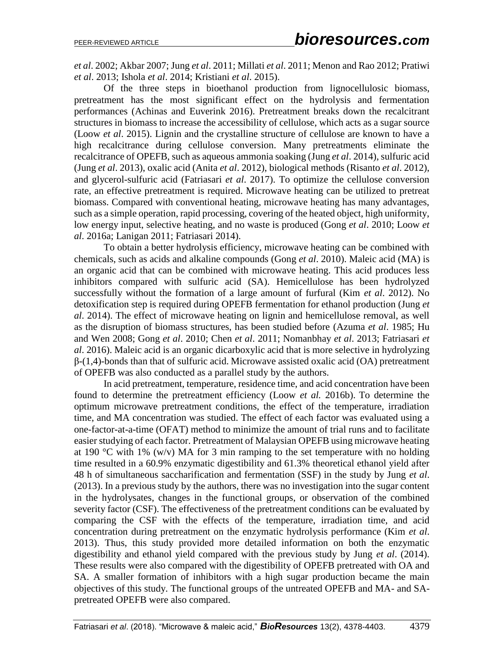*et al*. 2002; Akbar 2007; Jung *et al*. 2011; Millati *et al*. 2011; Menon and Rao 2012; Pratiwi *et al*. 2013; Ishola *et al*. 2014; Kristiani *et al*. 2015).

Of the three steps in bioethanol production from lignocellulosic biomass, pretreatment has the most significant effect on the hydrolysis and fermentation performances (Achinas and Euverink 2016). Pretreatment breaks down the recalcitrant structures in biomass to increase the accessibility of cellulose, which acts as a sugar source (Loow *et al*. 2015). Lignin and the crystalline structure of cellulose are known to have a high recalcitrance during cellulose conversion. Many pretreatments eliminate the recalcitrance of OPEFB, such as aqueous ammonia soaking (Jung *et al*. 2014), sulfuric acid (Jung *et al*. 2013), oxalic acid (Anita *et al*. 2012), biological methods (Risanto *et al*. 2012), and glycerol-sulfuric acid (Fatriasari *et al*. 2017). To optimize the cellulose conversion rate, an effective pretreatment is required. Microwave heating can be utilized to pretreat biomass. Compared with conventional heating, microwave heating has many advantages, such as a simple operation, rapid processing, covering of the heated object, high uniformity, low energy input, selective heating, and no waste is produced (Gong *et al*. 2010; Loow *et al*. 2016a; Lanigan 2011; Fatriasari 2014).

To obtain a better hydrolysis efficiency, microwave heating can be combined with chemicals, such as acids and alkaline compounds (Gong *et al*. 2010). Maleic acid (MA) is an organic acid that can be combined with microwave heating. This acid produces less inhibitors compared with sulfuric acid (SA). Hemicellulose has been hydrolyzed successfully without the formation of a large amount of furfural (Kim *et al*. 2012). No detoxification step is required during OPEFB fermentation for ethanol production (Jung *et al*. 2014). The effect of microwave heating on lignin and hemicellulose removal, as well as the disruption of biomass structures, has been studied before (Azuma *et al*. 1985; Hu and Wen 2008; Gong *et al*. 2010; Chen *et al*. 2011; Nomanbhay *et al*. 2013; Fatriasari *et al*. 2016). Maleic acid is an organic dicarboxylic acid that is more selective in hydrolyzing  $\beta$ -(1,4)-bonds than that of sulfuric acid. Microwave assisted oxalic acid (OA) pretreatment of OPEFB was also conducted as a parallel study by the authors.

In acid pretreatment, temperature, residence time, and acid concentration have been found to determine the pretreatment efficiency (Loow *et al.* 2016b). To determine the optimum microwave pretreatment conditions, the effect of the temperature, irradiation time, and MA concentration was studied. The effect of each factor was evaluated using a one-factor-at-a-time (OFAT) method to minimize the amount of trial runs and to facilitate easier studying of each factor. Pretreatment of Malaysian OPEFB using microwave heating at 190 °C with 1% (w/v) MA for 3 min ramping to the set temperature with no holding time resulted in a 60.9% enzymatic digestibility and 61.3% theoretical ethanol yield after 48 h of simultaneous saccharification and fermentation (SSF) in the study by Jung *et al*. (2013). In a previous study by the authors, there was no investigation into the sugar content in the hydrolysates, changes in the functional groups, or observation of the combined severity factor (CSF). The effectiveness of the pretreatment conditions can be evaluated by comparing the CSF with the effects of the temperature, irradiation time, and acid concentration during pretreatment on the enzymatic hydrolysis performance (Kim *et al*. 2013). Thus, this study provided more detailed information on both the enzymatic digestibility and ethanol yield compared with the previous study by Jung *et al*. (2014). These results were also compared with the digestibility of OPEFB pretreated with OA and SA. A smaller formation of inhibitors with a high sugar production became the main objectives of this study. The functional groups of the untreated OPEFB and MA- and SApretreated OPEFB were also compared.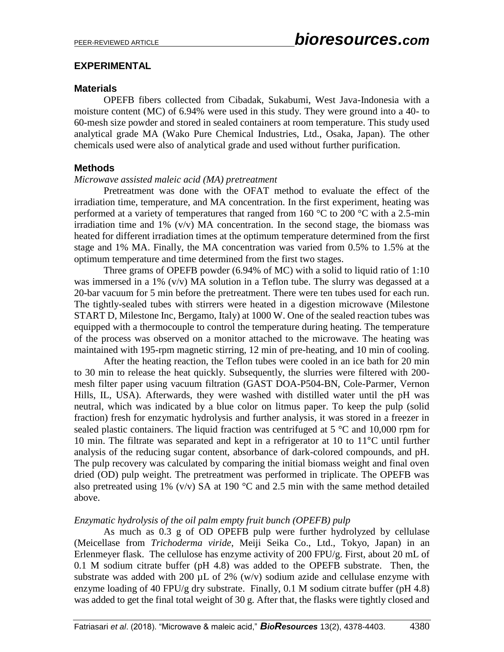## **EXPERIMENTAL**

## **Materials**

OPEFB fibers collected from Cibadak, Sukabumi, West Java-Indonesia with a moisture content (MC) of 6.94% were used in this study. They were ground into a 40- to 60-mesh size powder and stored in sealed containers at room temperature. This study used analytical grade MA (Wako Pure Chemical Industries, Ltd., Osaka, Japan). The other chemicals used were also of analytical grade and used without further purification.

## **Methods**

### *Microwave assisted maleic acid (MA) pretreatment*

Pretreatment was done with the OFAT method to evaluate the effect of the irradiation time, temperature, and MA concentration. In the first experiment, heating was performed at a variety of temperatures that ranged from 160  $\degree$ C to 200  $\degree$ C with a 2.5-min irradiation time and  $1\%$  (v/v) MA concentration. In the second stage, the biomass was heated for different irradiation times at the optimum temperature determined from the first stage and 1% MA. Finally, the MA concentration was varied from 0.5% to 1.5% at the optimum temperature and time determined from the first two stages.

Three grams of OPEFB powder (6.94% of MC) with a solid to liquid ratio of 1:10 was immersed in a 1% (v/v) MA solution in a Teflon tube. The slurry was degassed at a 20-bar vacuum for 5 min before the pretreatment. There were ten tubes used for each run. The tightly-sealed tubes with stirrers were heated in a digestion microwave (Milestone START D, Milestone Inc, Bergamo, Italy) at 1000 W. One of the sealed reaction tubes was equipped with a thermocouple to control the temperature during heating. The temperature of the process was observed on a monitor attached to the microwave. The heating was maintained with 195-rpm magnetic stirring, 12 min of pre-heating, and 10 min of cooling.

After the heating reaction, the Teflon tubes were cooled in an ice bath for 20 min to 30 min to release the heat quickly. Subsequently, the slurries were filtered with 200 mesh filter paper using vacuum filtration (GAST DOA-P504-BN, Cole-Parmer, Vernon Hills, IL, USA). Afterwards, they were washed with distilled water until the pH was neutral, which was indicated by a blue color on litmus paper. To keep the pulp (solid fraction) fresh for enzymatic hydrolysis and further analysis, it was stored in a freezer in sealed plastic containers. The liquid fraction was centrifuged at 5 °C and 10,000 rpm for 10 min. The filtrate was separated and kept in a refrigerator at 10 to 11°C until further analysis of the reducing sugar content, absorbance of dark-colored compounds, and pH. The pulp recovery was calculated by comparing the initial biomass weight and final oven dried (OD) pulp weight. The pretreatment was performed in triplicate. The OPEFB was also pretreated using 1% (v/v) SA at 190  $^{\circ}$ C and 2.5 min with the same method detailed above.

## *Enzymatic hydrolysis of the oil palm empty fruit bunch (OPEFB) pulp*

As much as 0.3 g of OD OPEFB pulp were further hydrolyzed by cellulase (Meicellase from *Trichoderma viride*, Meiji Seika Co., Ltd., Tokyo, Japan) in an Erlenmeyer flask. The cellulose has enzyme activity of 200 FPU/g. First, about 20 mL of 0.1 M sodium citrate buffer (pH 4.8) was added to the OPEFB substrate. Then, the substrate was added with 200  $\mu$ L of 2% (w/v) sodium azide and cellulase enzyme with enzyme loading of 40 FPU/g dry substrate. Finally, 0.1 M sodium citrate buffer (pH 4.8) was added to get the final total weight of 30 g. After that, the flasks were tightly closed and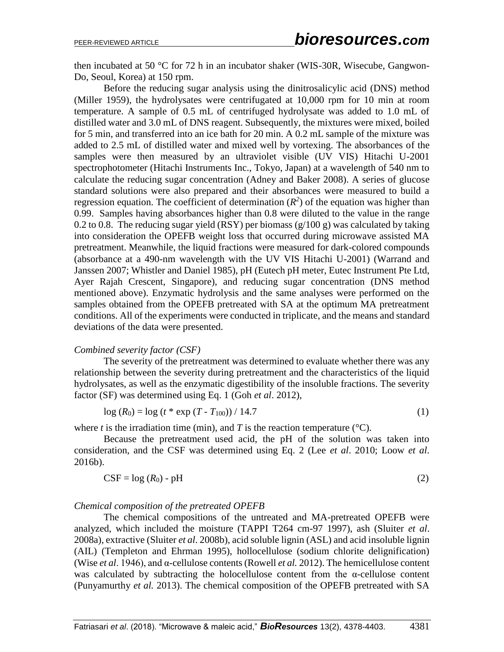then incubated at 50 °C for 72 h in an incubator shaker (WIS-30R, Wisecube, Gangwon-Do, Seoul, Korea) at 150 rpm.

Before the reducing sugar analysis using the dinitrosalicylic acid (DNS) method (Miller 1959), the hydrolysates were centrifugated at 10,000 rpm for 10 min at room temperature. A sample of 0.5 mL of centrifuged hydrolysate was added to 1.0 mL of distilled water and 3.0 mL of DNS reagent. Subsequently, the mixtures were mixed, boiled for 5 min, and transferred into an ice bath for 20 min. A 0.2 mL sample of the mixture was added to 2.5 mL of distilled water and mixed well by vortexing. The absorbances of the samples were then measured by an ultraviolet visible (UV VIS) Hitachi U-2001 spectrophotometer (Hitachi Instruments Inc., Tokyo, Japan) at a wavelength of 540 nm to calculate the reducing sugar concentration (Adney and Baker 2008). A series of glucose standard solutions were also prepared and their absorbances were measured to build a regression equation. The coefficient of determination  $(R^2)$  of the equation was higher than 0.99. Samples having absorbances higher than 0.8 were diluted to the value in the range 0.2 to 0.8. The reducing sugar yield (RSY) per biomass  $(g/100 g)$  was calculated by taking into consideration the OPEFB weight loss that occurred during microwave assisted MA pretreatment. Meanwhile, the liquid fractions were measured for dark-colored compounds (absorbance at a 490-nm wavelength with the UV VIS Hitachi U-2001) (Warrand and Janssen 2007; Whistler and Daniel 1985), pH (Eutech pH meter, Eutec Instrument Pte Ltd, Ayer Rajah Crescent, Singapore), and reducing sugar concentration (DNS method mentioned above). Enzymatic hydrolysis and the same analyses were performed on the samples obtained from the OPEFB pretreated with SA at the optimum MA pretreatment conditions. All of the experiments were conducted in triplicate, and the means and standard deviations of the data were presented.

### *Combined severity factor (CSF)*

The severity of the pretreatment was determined to evaluate whether there was any relationship between the severity during pretreatment and the characteristics of the liquid hydrolysates, as well as the enzymatic digestibility of the insoluble fractions. The severity factor (SF) was determined using Eq. 1 (Goh *et al*. 2012),

$$
log (R_0) = log (t * exp (T - T_{100})) / 14.7
$$
 (1)

where *t* is the irradiation time (min), and *T* is the reaction temperature ( $\degree$ C).

Because the pretreatment used acid, the pH of the solution was taken into consideration, and the CSF was determined using Eq. 2 (Lee *et al*. 2010; Loow *et al*. 2016b).

$$
CSF = \log (R_0) - pH \tag{2}
$$

### *Chemical composition of the pretreated OPEFB*

The chemical compositions of the untreated and MA-pretreated OPEFB were analyzed, which included the moisture (TAPPI T264 cm-97 1997), ash (Sluiter *et al*. 2008a), extractive (Sluiter *et al*. 2008b), acid soluble lignin (ASL) and acid insoluble lignin (AIL) (Templeton and Ehrman 1995), hollocellulose (sodium chlorite delignification) (Wise *et al*. 1946), and α-cellulose contents (Rowell *et al.* 2012). The hemicellulose content was calculated by subtracting the holocellulose content from the  $\alpha$ -cellulose content (Punyamurthy *et al.* 2013). The chemical composition of the OPEFB pretreated with SA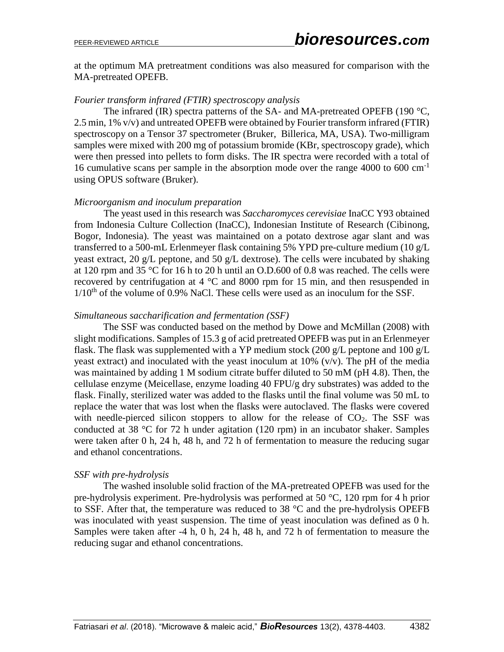at the optimum MA pretreatment conditions was also measured for comparison with the MA-pretreated OPEFB.

#### *Fourier transform infrared (FTIR) spectroscopy analysis*

The infrared (IR) spectra patterns of the SA- and MA-pretreated OPEFB (190 °C, 2.5 min, 1% v/v) and untreated OPEFB were obtained by Fourier transform infrared (FTIR) spectroscopy on a Tensor 37 spectrometer (Bruker, Billerica, MA, USA). Two-milligram samples were mixed with 200 mg of potassium bromide (KBr, spectroscopy grade), which were then pressed into pellets to form disks. The IR spectra were recorded with a total of 16 cumulative scans per sample in the absorption mode over the range 4000 to 600 cm-1 using OPUS software (Bruker).

#### *Microorganism and inoculum preparation*

The yeast used in this research was *Saccharomyces cerevisiae* InaCC Y93 obtained from Indonesia Culture Collection (InaCC), Indonesian Institute of Research (Cibinong, Bogor, Indonesia). The yeast was maintained on a potato dextrose agar slant and was transferred to a 500-mL Erlenmeyer flask containing 5% YPD pre-culture medium (10 g/L yeast extract, 20 g/L peptone, and 50 g/L dextrose). The cells were incubated by shaking at 120 rpm and 35 °C for 16 h to 20 h until an O.D.600 of 0.8 was reached. The cells were recovered by centrifugation at 4 °C and 8000 rpm for 15 min, and then resuspended in  $1/10<sup>th</sup>$  of the volume of 0.9% NaCl. These cells were used as an inoculum for the SSF.

#### *Simultaneous saccharification and fermentation (SSF)*

The SSF was conducted based on the method by Dowe and McMillan (2008) with slight modifications. Samples of 15.3 g of acid pretreated OPEFB was put in an Erlenmeyer flask. The flask was supplemented with a YP medium stock (200 g/L peptone and 100 g/L yeast extract) and inoculated with the yeast inoculum at  $10\%$  (v/v). The pH of the media was maintained by adding 1 M sodium citrate buffer diluted to 50 mM (pH 4.8). Then, the cellulase enzyme (Meicellase, enzyme loading 40 FPU/g dry substrates) was added to the flask. Finally, sterilized water was added to the flasks until the final volume was 50 mL to replace the water that was lost when the flasks were autoclaved. The flasks were covered with needle-pierced silicon stoppers to allow for the release of  $CO<sub>2</sub>$ . The SSF was conducted at 38 °C for 72 h under agitation (120 rpm) in an incubator shaker. Samples were taken after 0 h, 24 h, 48 h, and 72 h of fermentation to measure the reducing sugar and ethanol concentrations.

### *SSF with pre-hydrolysis*

The washed insoluble solid fraction of the MA-pretreated OPEFB was used for the pre-hydrolysis experiment. Pre-hydrolysis was performed at 50 °C, 120 rpm for 4 h prior to SSF. After that, the temperature was reduced to 38  $^{\circ}$ C and the pre-hydrolysis OPEFB was inoculated with yeast suspension. The time of yeast inoculation was defined as 0 h. Samples were taken after -4 h, 0 h, 24 h, 48 h, and 72 h of fermentation to measure the reducing sugar and ethanol concentrations.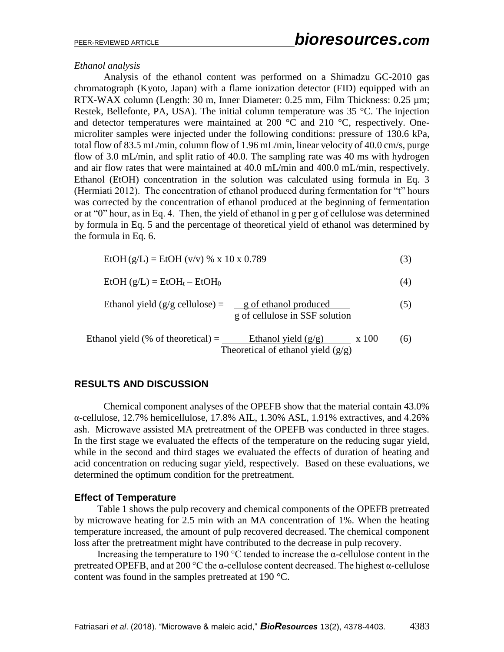## *Ethanol analysis*

Analysis of the ethanol content was performed on a Shimadzu GC-2010 gas chromatograph (Kyoto, Japan) with a flame ionization detector (FID) equipped with an RTX-WAX column (Length: 30 m, Inner Diameter: 0.25 mm, Film Thickness: 0.25 µm; Restek, Bellefonte, PA, USA). The initial column temperature was 35 °C. The injection and detector temperatures were maintained at 200  $^{\circ}$ C and 210  $^{\circ}$ C, respectively. Onemicroliter samples were injected under the following conditions: pressure of 130.6 kPa, total flow of 83.5 mL/min, column flow of 1.96 mL/min, linear velocity of 40.0 cm/s, purge flow of 3.0 mL/min, and split ratio of 40.0. The sampling rate was 40 ms with hydrogen and air flow rates that were maintained at 40.0 mL/min and 400.0 mL/min, respectively. Ethanol (EtOH) concentration in the solution was calculated using formula in Eq. 3 (Hermiati 2012). The concentration of ethanol produced during fermentation for "t" hours was corrected by the concentration of ethanol produced at the beginning of fermentation or at "0" hour, as in Eq. 4. Then, the yield of ethanol in g per g of cellulose was determined by formula in Eq. 5 and the percentage of theoretical yield of ethanol was determined by the formula in Eq. 6.

$$
EtOH(g/L) = EtOH (v/v) % x 10 x 0.789
$$
 (3)

$$
EtOH (g/L) = EtOHt - EtOH0
$$
 (4)

Ethanol yield (g/g cellulose) = 
$$
\frac{g \text{ of ethanol produced}}{g \text{ of cellulose in SSF solution}}
$$

\n(5)

 Ethanol yield (% of theoretical) = Ethanol yield (g/g) x 100 (6) Theoretical of ethanol yield (g/g)

## **RESULTS AND DISCUSSION**

Chemical component analyses of the OPEFB show that the material contain 43.0% α-cellulose, 12.7% hemicellulose, 17.8% AIL, 1.30% ASL, 1.91% extractives, and 4.26% ash. Microwave assisted MA pretreatment of the OPEFB was conducted in three stages. In the first stage we evaluated the effects of the temperature on the reducing sugar yield, while in the second and third stages we evaluated the effects of duration of heating and acid concentration on reducing sugar yield, respectively. Based on these evaluations, we determined the optimum condition for the pretreatment.

### **Effect of Temperature**

Table 1 shows the pulp recovery and chemical components of the OPEFB pretreated by microwave heating for 2.5 min with an MA concentration of 1%. When the heating temperature increased, the amount of pulp recovered decreased. The chemical component loss after the pretreatment might have contributed to the decrease in pulp recovery.

Increasing the temperature to 190 °C tended to increase the  $\alpha$ -cellulose content in the pretreated OPEFB, and at 200 °C the  $\alpha$ -cellulose content decreased. The highest  $\alpha$ -cellulose content was found in the samples pretreated at 190 °C.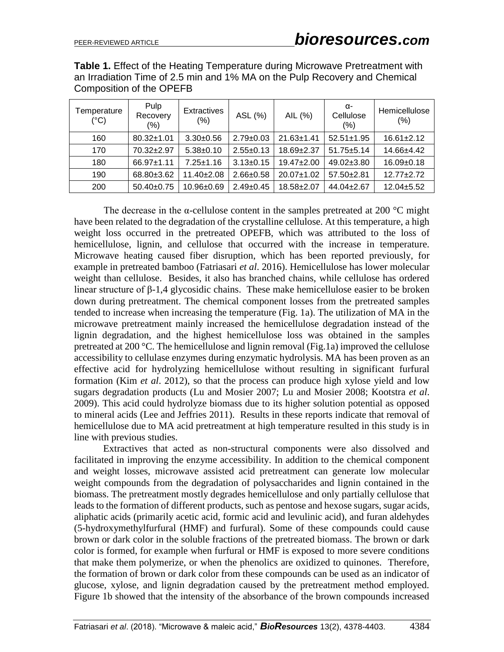**Table 1.** Effect of the Heating Temperature during Microwave Pretreatment with an Irradiation Time of 2.5 min and 1% MA on the Pulp Recovery and Chemical Composition of the OPEFB

| Temperature<br>$(^{\circ}C)$ | Pulp<br>Recovery<br>$(\% )$ | <b>Extractives</b><br>(%) | ASL (%)         | AIL (%)          | α-<br>Cellulose<br>(%) | Hemicellulose<br>(%) |
|------------------------------|-----------------------------|---------------------------|-----------------|------------------|------------------------|----------------------|
| 160                          | $80.32 \pm 1.01$            | $3.30 \pm 0.56$           | $2.79 \pm 0.03$ | $21.63 \pm 1.41$ | $52.51 \pm 1.95$       | $16.61 \pm 2.12$     |
| 170                          | $70.32 + 2.97$              | $5.38 \pm 0.10$           | $2.55 \pm 0.13$ | 18.69±2.37       | $51.75 \pm 5.14$       | 14.66±4.42           |
| 180                          | $66.97 \pm 1.11$            | $7.25 \pm 1.16$           | $3.13 \pm 0.15$ | $19.47 \pm 2.00$ | $49.02 \pm 3.80$       | $16.09 \pm 0.18$     |
| 190                          | 68.80±3.62                  | $11.40 \pm 2.08$          | $2.66 \pm 0.58$ | $20.07 \pm 1.02$ | 57.50±2.81             | $12.77 \pm 2.72$     |
| 200                          | $50.40 \pm 0.75$            | $10.96 \pm 0.69$          | $2.49 \pm 0.45$ | $18.58 + 2.07$   | $44.04 \pm 2.67$       | $12.04 \pm 5.52$     |

The decrease in the  $\alpha$ -cellulose content in the samples pretreated at 200 °C might have been related to the degradation of the crystalline cellulose. At this temperature, a high weight loss occurred in the pretreated OPEFB, which was attributed to the loss of hemicellulose, lignin, and cellulose that occurred with the increase in temperature. Microwave heating caused fiber disruption, which has been reported previously, for example in pretreated bamboo (Fatriasari *et al*. 2016). Hemicellulose has lower molecular weight than cellulose. Besides, it also has branched chains, while cellulose has ordered linear structure of β-1,4 glycosidic chains. These make hemicellulose easier to be broken down during pretreatment. The chemical component losses from the pretreated samples tended to increase when increasing the temperature (Fig. 1a). The utilization of MA in the microwave pretreatment mainly increased the hemicellulose degradation instead of the lignin degradation, and the highest hemicellulose loss was obtained in the samples pretreated at 200 °C. The hemicellulose and lignin removal (Fig.1a) improved the cellulose accessibility to cellulase enzymes during enzymatic hydrolysis. MA has been proven as an effective acid for hydrolyzing hemicellulose without resulting in significant furfural formation (Kim *et al*. 2012), so that the process can produce high xylose yield and low sugars degradation products (Lu and Mosier 2007; Lu and Mosier 2008; Kootstra *et al*. 2009). This acid could hydrolyze biomass due to its higher solution potential as opposed to mineral acids (Lee and Jeffries 2011). Results in these reports indicate that removal of hemicellulose due to MA acid pretreatment at high temperature resulted in this study is in line with previous studies.

Extractives that acted as non-structural components were also dissolved and facilitated in improving the enzyme accessibility. In addition to the chemical component and weight losses, microwave assisted acid pretreatment can generate low molecular weight compounds from the degradation of polysaccharides and lignin contained in the biomass. The pretreatment mostly degrades hemicellulose and only partially cellulose that leads to the formation of different products, such as pentose and hexose sugars, sugar acids, aliphatic acids (primarily acetic acid, formic acid and levulinic acid), and furan aldehydes (5-hydroxymethylfurfural (HMF) and furfural). Some of these compounds could cause brown or dark color in the soluble fractions of the pretreated biomass. The brown or dark color is formed, for example when furfural or HMF is exposed to more severe conditions that make them polymerize, or when the phenolics are oxidized to quinones. Therefore, the formation of brown or dark color from these compounds can be used as an indicator of glucose, xylose, and lignin degradation caused by the pretreatment method employed. Figure 1b showed that the intensity of the absorbance of the brown compounds increased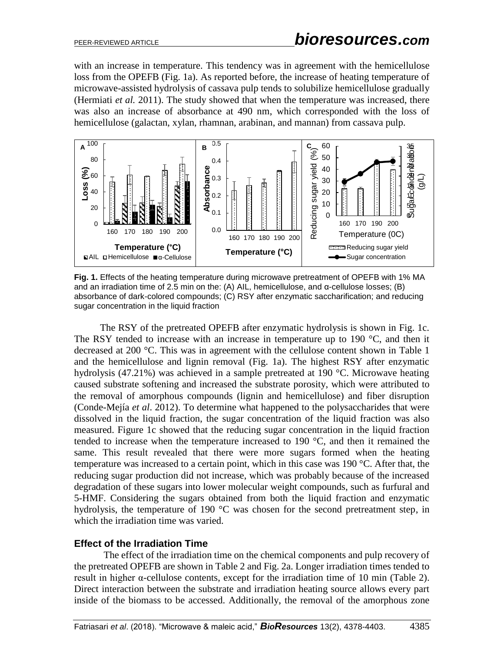with an increase in temperature. This tendency was in agreement with the hemicellulose loss from the OPEFB (Fig. 1a). As reported before, the increase of heating temperature of microwave-assisted hydrolysis of cassava pulp tends to solubilize hemicellulose gradually (Hermiati *et al.* 2011). The study showed that when the temperature was increased, there was also an increase of absorbance at 490 nm, which corresponded with the loss of hemicellulose (galactan, xylan, rhamnan, arabinan, and mannan) from cassava pulp.



**Fig. 1.** Effects of the heating temperature during microwave pretreatment of OPEFB with 1% MA and an irradiation time of 2.5 min on the: (A) AIL, hemicellulose, and α-cellulose losses; (B) absorbance of dark-colored compounds; (C) RSY after enzymatic saccharification; and reducing sugar concentration in the liquid fraction

The RSY of the pretreated OPEFB after enzymatic hydrolysis is shown in Fig. 1c. The RSY tended to increase with an increase in temperature up to 190 °C, and then it decreased at 200 °C. This was in agreement with the cellulose content shown in Table 1 and the hemicellulose and lignin removal (Fig. 1a). The highest RSY after enzymatic hydrolysis (47.21%) was achieved in a sample pretreated at 190 °C. Microwave heating caused substrate softening and increased the substrate porosity, which were attributed to the removal of amorphous compounds (lignin and hemicellulose) and fiber disruption (Conde-Mejía *et al*. 2012). To determine what happened to the polysaccharides that were dissolved in the liquid fraction, the sugar concentration of the liquid fraction was also measured. Figure 1c showed that the reducing sugar concentration in the liquid fraction tended to increase when the temperature increased to 190 °C, and then it remained the same. This result revealed that there were more sugars formed when the heating temperature was increased to a certain point, which in this case was 190 °C. After that, the reducing sugar production did not increase, which was probably because of the increased degradation of these sugars into lower molecular weight compounds, such as furfural and 5-HMF. Considering the sugars obtained from both the liquid fraction and enzymatic hydrolysis, the temperature of 190 °C was chosen for the second pretreatment step, in which the irradiation time was varied.

### **Effect of the Irradiation Time**

The effect of the irradiation time on the chemical components and pulp recovery of the pretreated OPEFB are shown in Table 2 and Fig. 2a. Longer irradiation times tended to result in higher  $\alpha$ -cellulose contents, except for the irradiation time of 10 min (Table 2). Direct interaction between the substrate and irradiation heating source allows every part inside of the biomass to be accessed. Additionally, the removal of the amorphous zone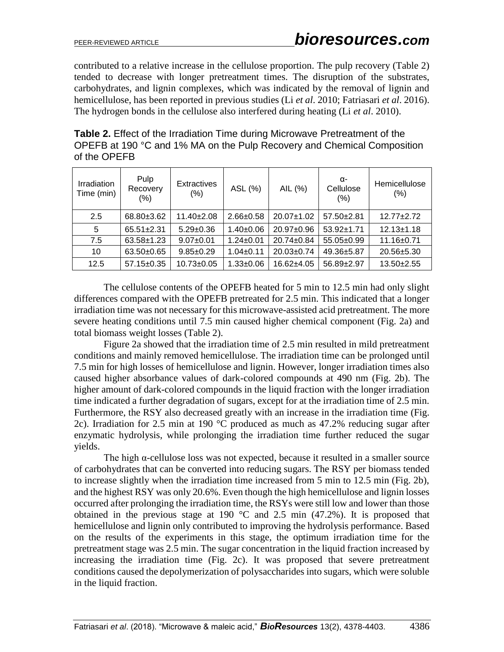contributed to a relative increase in the cellulose proportion. The pulp recovery (Table 2) tended to decrease with longer pretreatment times. The disruption of the substrates, carbohydrates, and lignin complexes, which was indicated by the removal of lignin and hemicellulose, has been reported in previous studies (Li *et al*. 2010; Fatriasari *et al*. 2016). The hydrogen bonds in the cellulose also interfered during heating (Li *et al*. 2010).

**Table 2.** Effect of the Irradiation Time during Microwave Pretreatment of the OPEFB at 190 °C and 1% MA on the Pulp Recovery and Chemical Composition of the OPEFB

| Irradiation<br>Time (min) | Pulp<br>Recovery<br>(% ) | <b>Extractives</b><br>(%) | ASL (%)         | AIL (%)          | α-<br>Cellulose<br>(% ) | Hemicellulose<br>(% ) |
|---------------------------|--------------------------|---------------------------|-----------------|------------------|-------------------------|-----------------------|
| 2.5                       | 68.80±3.62               | $11.40 \pm 2.08$          | $2.66 \pm 0.58$ | $20.07 \pm 1.02$ | $57.50 \pm 2.81$        | $12.77 + 2.72$        |
| 5                         | $65.51 \pm 2.31$         | $5.29 \pm 0.36$           | $1.40 \pm 0.06$ | 20.97±0.96       | $53.92 \pm 1.71$        | $12.13 \pm 1.18$      |
| 7.5                       | $63.58 \pm 1.23$         | $9.07 + 0.01$             | $1.24 \pm 0.01$ | 20.74±0.84       | $55.05 \pm 0.99$        | $11.16 \pm 0.71$      |
| 10                        | $63.50+0.65$             | $9.85 \pm 0.29$           | $1.04 \pm 0.11$ | 20.03±0.74       | 49.36±5.87              | 20.56±5.30            |
| 12.5                      | $57.15 \pm 0.35$         | $10.73 \pm 0.05$          | $1.33 + 0.06$   | $16.62{\pm}4.05$ | $56.89 \pm 2.97$        | $13.50 + 2.55$        |

The cellulose contents of the OPEFB heated for 5 min to 12.5 min had only slight differences compared with the OPEFB pretreated for 2.5 min. This indicated that a longer irradiation time was not necessary for this microwave-assisted acid pretreatment. The more severe heating conditions until 7.5 min caused higher chemical component (Fig. 2a) and total biomass weight losses (Table 2).

Figure 2a showed that the irradiation time of 2.5 min resulted in mild pretreatment conditions and mainly removed hemicellulose. The irradiation time can be prolonged until 7.5 min for high losses of hemicellulose and lignin. However, longer irradiation times also caused higher absorbance values of dark-colored compounds at 490 nm (Fig. 2b). The higher amount of dark-colored compounds in the liquid fraction with the longer irradiation time indicated a further degradation of sugars, except for at the irradiation time of 2.5 min. Furthermore, the RSY also decreased greatly with an increase in the irradiation time (Fig. 2c). Irradiation for 2.5 min at 190 °C produced as much as 47.2% reducing sugar after enzymatic hydrolysis, while prolonging the irradiation time further reduced the sugar yields.

The high α-cellulose loss was not expected, because it resulted in a smaller source of carbohydrates that can be converted into reducing sugars. The RSY per biomass tended to increase slightly when the irradiation time increased from 5 min to 12.5 min (Fig. 2b), and the highest RSY was only 20.6%. Even though the high hemicellulose and lignin losses occurred after prolonging the irradiation time, the RSYs were still low and lower than those obtained in the previous stage at 190  $\degree$ C and 2.5 min (47.2%). It is proposed that hemicellulose and lignin only contributed to improving the hydrolysis performance. Based on the results of the experiments in this stage, the optimum irradiation time for the pretreatment stage was 2.5 min. The sugar concentration in the liquid fraction increased by increasing the irradiation time (Fig. 2c). It was proposed that severe pretreatment conditions caused the depolymerization of polysaccharides into sugars, which were soluble in the liquid fraction.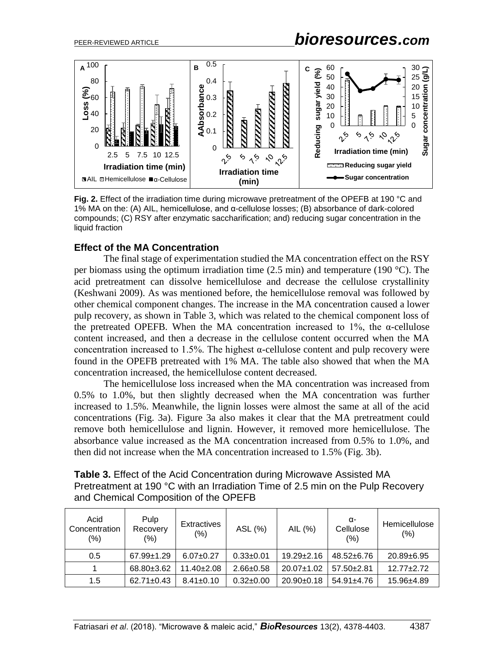# PEER-REVIEWED ARTICLE *bioresources.com*



**Fig. 2.** Effect of the irradiation time during microwave pretreatment of the OPEFB at 190 °C and 1% MA on the: (A) AIL, hemicellulose, and α-cellulose losses; (B) absorbance of dark-colored compounds; (C) RSY after enzymatic saccharification; and) reducing sugar concentration in the liquid fraction

### **Effect of the MA Concentration**

The final stage of experimentation studied the MA concentration effect on the RSY per biomass using the optimum irradiation time  $(2.5 \text{ min})$  and temperature  $(190 \text{ °C})$ . The acid pretreatment can dissolve hemicellulose and decrease the cellulose crystallinity (Keshwani 2009). As was mentioned before, the hemicellulose removal was followed by other chemical component changes. The increase in the MA concentration caused a lower pulp recovery, as shown in Table 3, which was related to the chemical component loss of the pretreated OPEFB. When the MA concentration increased to 1%, the  $\alpha$ -cellulose content increased, and then a decrease in the cellulose content occurred when the MA concentration increased to 1.5%. The highest  $\alpha$ -cellulose content and pulp recovery were found in the OPEFB pretreated with 1% MA. The table also showed that when the MA concentration increased, the hemicellulose content decreased.

The hemicellulose loss increased when the MA concentration was increased from 0.5% to 1.0%, but then slightly decreased when the MA concentration was further increased to 1.5%. Meanwhile, the lignin losses were almost the same at all of the acid concentrations (Fig. 3a). Figure 3a also makes it clear that the MA pretreatment could remove both hemicellulose and lignin. However, it removed more hemicellulose. The absorbance value increased as the MA concentration increased from 0.5% to 1.0%, and then did not increase when the MA concentration increased to 1.5% (Fig. 3b).

| <b>Table 3.</b> Effect of the Acid Concentration during Microwave Assisted MA   |
|---------------------------------------------------------------------------------|
| Pretreatment at 190 °C with an Irradiation Time of 2.5 min on the Pulp Recovery |
| and Chemical Composition of the OPEFB                                           |

| Acid<br>Concentration<br>(%) | Pulp<br>Recovery<br>(%) | <b>Extractives</b><br>$(\% )$ | ASL (%)         | AIL (%)          | α-<br>Cellulose<br>$(\% )$ | Hemicellulose<br>(%) |
|------------------------------|-------------------------|-------------------------------|-----------------|------------------|----------------------------|----------------------|
| 0.5                          | $67.99 \pm 1.29$        | $6.07 \pm 0.27$               | $0.33 + 0.01$   | $19.29 \pm 2.16$ | $48.52 \pm 6.76$           | $20.89 \pm 6.95$     |
|                              | 68.80±3.62              | $11.40 \pm 2.08$              | $2.66 \pm 0.58$ | $20.07 \pm 1.02$ | $57.50 \pm 2.81$           | $12.77 + 2.72$       |
| 1.5                          | $62.71 \pm 0.43$        | $8.41 \pm 0.10$               | $0.32 \pm 0.00$ | $20.90+0.18$     | $54.91 \pm 4.76$           | 15.96±4.89           |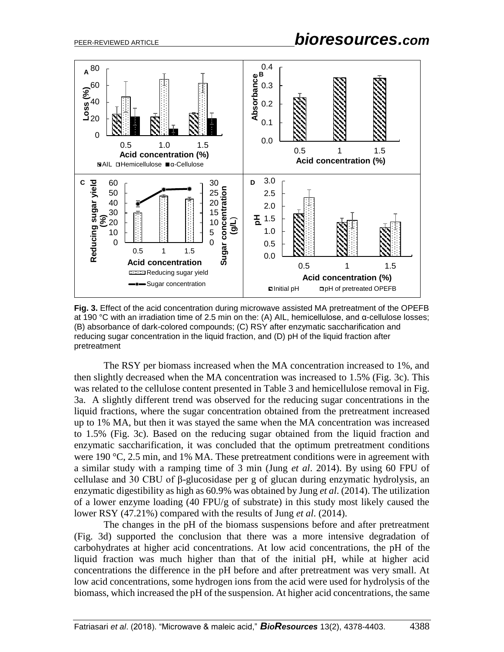

**Fig. 3.** Effect of the acid concentration during microwave assisted MA pretreatment of the OPEFB at 190 °C with an irradiation time of 2.5 min on the: (A) AIL, hemicellulose, and α-cellulose losses; (B) absorbance of dark-colored compounds; (C) RSY after enzymatic saccharification and reducing sugar concentration in the liquid fraction, and (D) pH of the liquid fraction after pretreatment

The RSY per biomass increased when the MA concentration increased to 1%, and then slightly decreased when the MA concentration was increased to 1.5% (Fig. 3c). This was related to the cellulose content presented in Table 3 and hemicellulose removal in Fig. 3a. A slightly different trend was observed for the reducing sugar concentrations in the liquid fractions, where the sugar concentration obtained from the pretreatment increased up to 1% MA, but then it was stayed the same when the MA concentration was increased to 1.5% (Fig. 3c). Based on the reducing sugar obtained from the liquid fraction and enzymatic saccharification, it was concluded that the optimum pretreatment conditions were 190 °C, 2.5 min, and 1% MA. These pretreatment conditions were in agreement with a similar study with a ramping time of 3 min (Jung *et al*. 2014). By using 60 FPU of cellulase and 30 CBU of β-glucosidase per g of glucan during enzymatic hydrolysis, an enzymatic digestibility as high as 60.9% was obtained by Jung *et al*. (2014). The utilization of a lower enzyme loading (40 FPU/g of substrate) in this study most likely caused the lower RSY (47.21%) compared with the results of Jung *et al*. (2014).

The changes in the pH of the biomass suspensions before and after pretreatment (Fig. 3d) supported the conclusion that there was a more intensive degradation of carbohydrates at higher acid concentrations. At low acid concentrations, the pH of the liquid fraction was much higher than that of the initial pH, while at higher acid concentrations the difference in the pH before and after pretreatment was very small. At low acid concentrations, some hydrogen ions from the acid were used for hydrolysis of the biomass, which increased the pH of the suspension. At higher acid concentrations, the same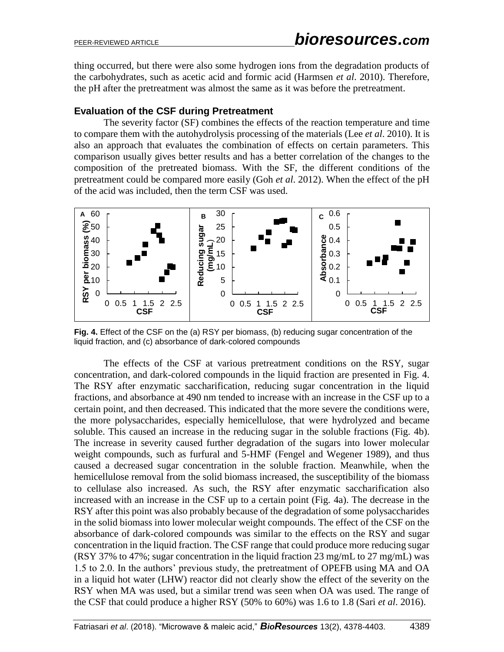thing occurred, but there were also some hydrogen ions from the degradation products of the carbohydrates, such as acetic acid and formic acid (Harmsen *et al*. 2010). Therefore, the pH after the pretreatment was almost the same as it was before the pretreatment.

## **Evaluation of the CSF during Pretreatment**

The severity factor (SF) combines the effects of the reaction temperature and time to compare them with the autohydrolysis processing of the materials (Lee *et al*. 2010). It is also an approach that evaluates the combination of effects on certain parameters. This comparison usually gives better results and has a better correlation of the changes to the composition of the pretreated biomass. With the SF, the different conditions of the pretreatment could be compared more easily (Goh *et al*. 2012). When the effect of the pH of the acid was included, then the term CSF was used.



**Fig. 4.** Effect of the CSF on the (a) RSY per biomass, (b) reducing sugar concentration of the liquid fraction, and (c) absorbance of dark-colored compounds

The effects of the CSF at various pretreatment conditions on the RSY, sugar concentration, and dark-colored compounds in the liquid fraction are presented in Fig. 4. The RSY after enzymatic saccharification, reducing sugar concentration in the liquid fractions, and absorbance at 490 nm tended to increase with an increase in the CSF up to a certain point, and then decreased. This indicated that the more severe the conditions were, the more polysaccharides, especially hemicellulose, that were hydrolyzed and became soluble. This caused an increase in the reducing sugar in the soluble fractions (Fig. 4b). The increase in severity caused further degradation of the sugars into lower molecular weight compounds, such as furfural and 5-HMF (Fengel and Wegener 1989), and thus caused a decreased sugar concentration in the soluble fraction. Meanwhile, when the hemicellulose removal from the solid biomass increased, the susceptibility of the biomass to cellulase also increased. As such, the RSY after enzymatic saccharification also increased with an increase in the CSF up to a certain point (Fig. 4a). The decrease in the RSY after this point was also probably because of the degradation of some polysaccharides in the solid biomass into lower molecular weight compounds. The effect of the CSF on the absorbance of dark-colored compounds was similar to the effects on the RSY and sugar concentration in the liquid fraction. The CSF range that could produce more reducing sugar (RSY 37% to 47%; sugar concentration in the liquid fraction 23 mg/mL to 27 mg/mL) was 1.5 to 2.0. In the authors' previous study, the pretreatment of OPEFB using MA and OA in a liquid hot water (LHW) reactor did not clearly show the effect of the severity on the RSY when MA was used, but a similar trend was seen when OA was used. The range of the CSF that could produce a higher RSY (50% to 60%) was 1.6 to 1.8 (Sari *et al*. 2016).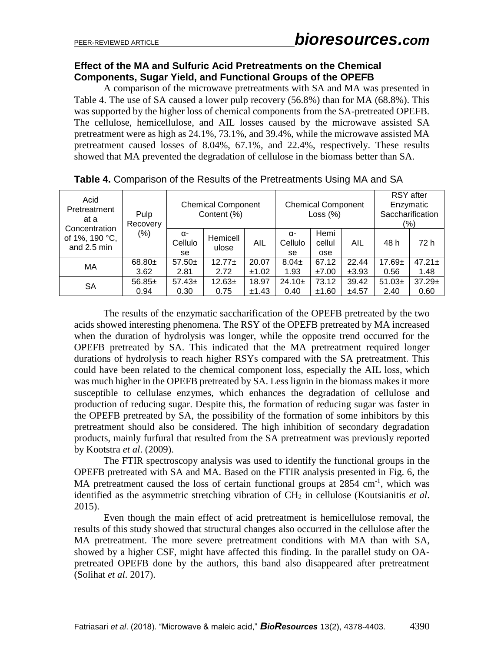## **Effect of the MA and Sulfuric Acid Pretreatments on the Chemical Components, Sugar Yield, and Functional Groups of the OPEFB**

A comparison of the microwave pretreatments with SA and MA was presented in Table 4. The use of SA caused a lower pulp recovery (56.8%) than for MA (68.8%). This was supported by the higher loss of chemical components from the SA-pretreated OPEFB. The cellulose, hemicellulose, and AIL losses caused by the microwave assisted SA pretreatment were as high as 24.1%, 73.1%, and 39.4%, while the microwave assisted MA pretreatment caused losses of 8.04%, 67.1%, and 22.4%, respectively. These results showed that MA prevented the degradation of cellulose in the biomass better than SA.

| Acid<br>Pretreatment<br>at a<br>Concentration<br>of 1%, 190 °C,<br>and 2.5 min | Pulp<br>Recovery | <b>Chemical Component</b><br>Content (%) |                   |                |                     | <b>Chemical Component</b><br>Loss $(\%)$ |                | <b>RSY</b> after<br>Enzymatic<br>Saccharification<br>(%) |                     |
|--------------------------------------------------------------------------------|------------------|------------------------------------------|-------------------|----------------|---------------------|------------------------------------------|----------------|----------------------------------------------------------|---------------------|
|                                                                                | $(\% )$          | α-<br>Cellulo<br>se                      | Hemicell<br>ulose | AIL            | α-<br>Cellulo<br>se | Hemi<br>cellul<br>ose                    | AIL            | 48 h                                                     | 72 h                |
| МA                                                                             | $68.80+$<br>3.62 | $57.50+$<br>2.81                         | $12.77+$<br>2.72  | 20.07<br>±1.02 | $8.04 \pm$<br>1.93  | 67.12<br>±7.00                           | 22.44          | $17.69 \pm$<br>0.56                                      | $47.21 \pm$         |
| <b>SA</b>                                                                      | $56.85+$         | $57.43 \pm$                              | $12.63+$          | 18.97          | $24.10+$            | 73.12                                    | ±3.93<br>39.42 | $51.03+$                                                 | 1.48<br>$37.29 \pm$ |
|                                                                                | 0.94             | 0.30                                     | 0.75              | ±1.43          | 0.40                | ±1.60                                    | ±4.57          | 2.40                                                     | 0.60                |

**Table 4.** Comparison of the Results of the Pretreatments Using MA and SA

The results of the enzymatic saccharification of the OPEFB pretreated by the two acids showed interesting phenomena. The RSY of the OPEFB pretreated by MA increased when the duration of hydrolysis was longer, while the opposite trend occurred for the OPEFB pretreated by SA. This indicated that the MA pretreatment required longer durations of hydrolysis to reach higher RSYs compared with the SA pretreatment. This could have been related to the chemical component loss, especially the AIL loss, which was much higher in the OPEFB pretreated by SA. Less lignin in the biomass makes it more susceptible to cellulase enzymes, which enhances the degradation of cellulose and production of reducing sugar. Despite this, the formation of reducing sugar was faster in the OPEFB pretreated by SA, the possibility of the formation of some inhibitors by this pretreatment should also be considered. The high inhibition of secondary degradation products, mainly furfural that resulted from the SA pretreatment was previously reported by Kootstra *et al*. (2009).

The FTIR spectroscopy analysis was used to identify the functional groups in the OPEFB pretreated with SA and MA. Based on the FTIR analysis presented in Fig. 6, the MA pretreatment caused the loss of certain functional groups at 2854 cm<sup>-1</sup>, which was identified as the asymmetric stretching vibration of CH<sub>2</sub> in cellulose (Koutsianitis *et al.*) 2015).

Even though the main effect of acid pretreatment is hemicellulose removal, the results of this study showed that structural changes also occurred in the cellulose after the MA pretreatment. The more severe pretreatment conditions with MA than with SA, showed by a higher CSF, might have affected this finding. In the parallel study on OApretreated OPEFB done by the authors, this band also disappeared after pretreatment (Solihat *et al*. 2017).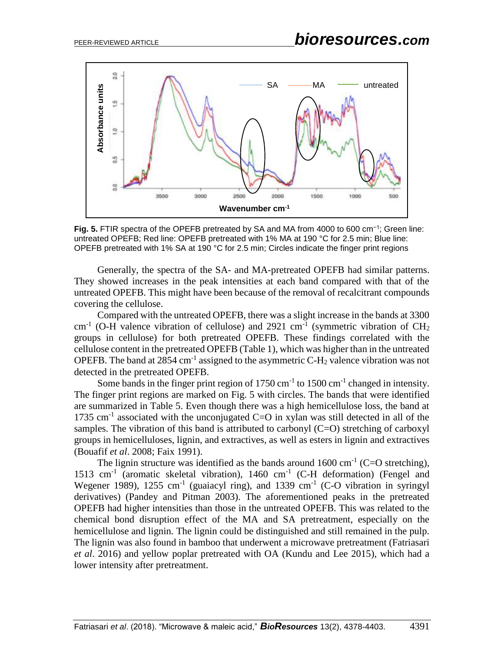

**Fig. 5.** FTIR spectra of the OPEFB pretreated by SA and MA from 4000 to 600 cm−1; Green line: untreated OPEFB; Red line: OPEFB pretreated with 1% MA at 190 °C for 2.5 min; Blue line: OPEFB pretreated with 1% SA at 190 °C for 2.5 min; Circles indicate the finger print regions

Generally, the spectra of the SA- and MA-pretreated OPEFB had similar patterns. They showed increases in the peak intensities at each band compared with that of the untreated OPEFB. This might have been because of the removal of recalcitrant compounds covering the cellulose.

Compared with the untreated OPEFB, there was a slight increase in the bands at 3300 cm<sup>-1</sup> (O-H valence vibration of cellulose) and 2921 cm<sup>-1</sup> (symmetric vibration of CH<sub>2</sub> groups in cellulose) for both pretreated OPEFB. These findings correlated with the cellulose content in the pretreated OPEFB (Table 1), which was higher than in the untreated OPEFB. The band at 2854 cm<sup>-1</sup> assigned to the asymmetric C-H<sub>2</sub> valence vibration was not detected in the pretreated OPEFB.

Some bands in the finger print region of  $1750 \text{ cm}^{-1}$  to  $1500 \text{ cm}^{-1}$  changed in intensity. The finger print regions are marked on Fig. 5 with circles. The bands that were identified are summarized in Table 5. Even though there was a high hemicellulose loss, the band at 1735  $cm<sup>-1</sup>$  associated with the unconjugated C=O in xylan was still detected in all of the samples. The vibration of this band is attributed to carbonyl  $(C=O)$  stretching of carboxyl groups in hemicelluloses, lignin, and extractives, as well as esters in lignin and extractives (Bouafif *et al*. 2008; Faix 1991).

The lignin structure was identified as the bands around  $1600 \text{ cm}^{-1}$  (C=O stretching), 1513 cm<sup>-1</sup> (aromatic skeletal vibration), 1460 cm<sup>-1</sup> (C-H deformation) (Fengel and Wegener 1989),  $1255 \text{ cm}^{-1}$  (guaiacyl ring), and  $1339 \text{ cm}^{-1}$  (C-O vibration in syringyl derivatives) (Pandey and Pitman 2003). The aforementioned peaks in the pretreated OPEFB had higher intensities than those in the untreated OPEFB. This was related to the chemical bond disruption effect of the MA and SA pretreatment, especially on the hemicellulose and lignin. The lignin could be distinguished and still remained in the pulp. The lignin was also found in bamboo that underwent a microwave pretreatment (Fatriasari *et al*. 2016) and yellow poplar pretreated with OA (Kundu and Lee 2015), which had a lower intensity after pretreatment.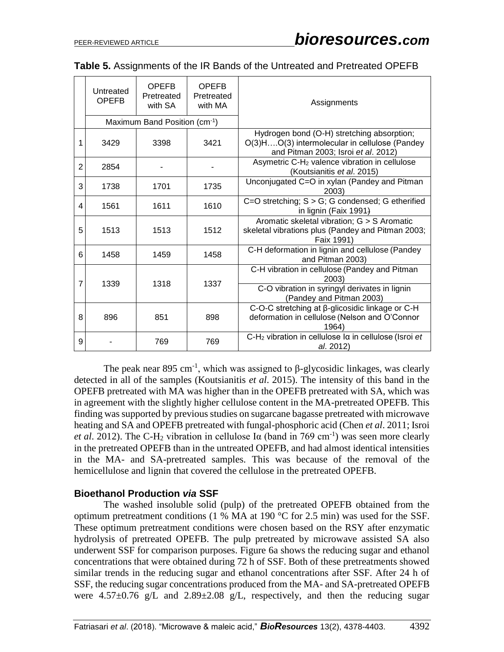|                | Untreated<br><b>OPEFB</b> | <b>OPEFB</b><br>Pretreated<br>with SA | <b>OPEFB</b><br>Pretreated<br>with MA | Assignments                                                                                                                        |
|----------------|---------------------------|---------------------------------------|---------------------------------------|------------------------------------------------------------------------------------------------------------------------------------|
|                |                           | Maximum Band Position (cm-1)          |                                       |                                                                                                                                    |
| $\mathbf{1}$   | 3429                      | 3398                                  | 3421                                  | Hydrogen bond (O-H) stretching absorption;<br>O(3)HO(3) intermolecular in cellulose (Pandey<br>and Pitman 2003; Isroi et al. 2012) |
| $\overline{2}$ | 2854                      |                                       |                                       | Asymetric C-H <sub>2</sub> valence vibration in cellulose<br>(Koutsianitis et al. 2015)                                            |
| 3              | 1738                      | 1701                                  | 1735                                  | Unconjugated C=O in xylan (Pandey and Pitman<br>2003)                                                                              |
| 4              | 1561                      | 1611                                  | 1610                                  | C=O stretching; $S > G$ ; G condensed; G etherified<br>in lignin (Faix 1991)                                                       |
| 5              | 1513                      | 1513                                  | 1512                                  | Aromatic skeletal vibration; G > S Aromatic<br>skeletal vibrations plus (Pandey and Pitman 2003;<br>Faix 1991)                     |
| 6              | 1458                      | 1459                                  | 1458                                  | C-H deformation in lignin and cellulose (Pandey<br>and Pitman 2003)                                                                |
| 7              | 1339                      | 1318                                  | 1337                                  | C-H vibration in cellulose (Pandey and Pitman<br>2003)                                                                             |
|                |                           |                                       |                                       | C-O vibration in syringyl derivates in lignin<br>(Pandey and Pitman 2003)                                                          |
| 8              | 896                       | 851                                   | 898                                   | C-O-C stretching at β-glicosidic linkage or C-H<br>deformation in cellulose (Nelson and O'Connor<br>1964)                          |
| 9              |                           | 769                                   | 769                                   | C-H <sub>2</sub> vibration in cellulose la in cellulose (Isroi et<br>al. 2012)                                                     |

| Table 5. Assignments of the IR Bands of the Untreated and Pretreated OPEFB |  |  |  |  |  |
|----------------------------------------------------------------------------|--|--|--|--|--|
|----------------------------------------------------------------------------|--|--|--|--|--|

The peak near 895 cm<sup>-1</sup>, which was assigned to  $\beta$ -glycosidic linkages, was clearly detected in all of the samples (Koutsianitis *et al*. 2015). The intensity of this band in the OPEFB pretreated with MA was higher than in the OPEFB pretreated with SA, which was in agreement with the slightly higher cellulose content in the MA-pretreated OPEFB. This finding was supported by previous studies on sugarcane bagasse pretreated with microwave heating and SA and OPEFB pretreated with fungal-phosphoric acid (Chen *et al*. 2011; Isroi *et al.* 2012). The C-H<sub>2</sub> vibration in cellulose I $\alpha$  (band in 769 cm<sup>-1</sup>) was seen more clearly in the pretreated OPEFB than in the untreated OPEFB, and had almost identical intensities in the MA- and SA-pretreated samples. This was because of the removal of the hemicellulose and lignin that covered the cellulose in the pretreated OPEFB.

## **Bioethanol Production** *via* **SSF**

The washed insoluble solid (pulp) of the pretreated OPEFB obtained from the optimum pretreatment conditions (1 % MA at 190 °C for 2.5 min) was used for the SSF. These optimum pretreatment conditions were chosen based on the RSY after enzymatic hydrolysis of pretreated OPEFB. The pulp pretreated by microwave assisted SA also underwent SSF for comparison purposes. Figure 6a shows the reducing sugar and ethanol concentrations that were obtained during 72 h of SSF. Both of these pretreatments showed similar trends in the reducing sugar and ethanol concentrations after SSF. After 24 h of SSF, the reducing sugar concentrations produced from the MA- and SA-pretreated OPEFB were  $4.57\pm0.76$  g/L and  $2.89\pm2.08$  g/L, respectively, and then the reducing sugar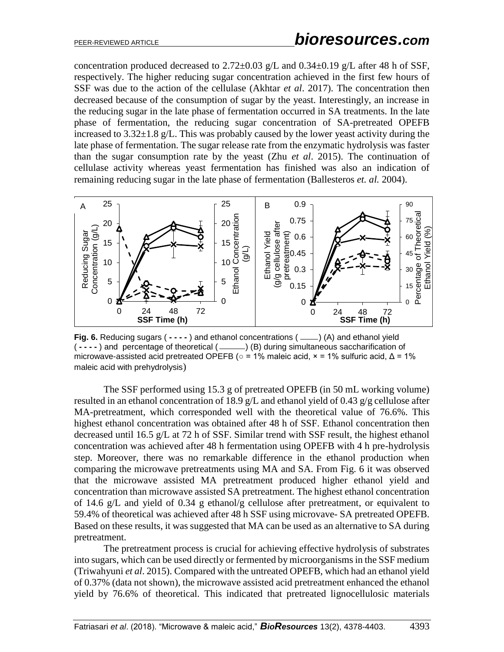concentration produced decreased to 2.72 $\pm$ 0.03 g/L and 0.34 $\pm$ 0.19 g/L after 48 h of SSF, respectively. The higher reducing sugar concentration achieved in the first few hours of SSF was due to the action of the cellulase (Akhtar *et al*. 2017). The concentration then decreased because of the consumption of sugar by the yeast. Interestingly, an increase in the reducing sugar in the late phase of fermentation occurred in SA treatments. In the late phase of fermentation, the reducing sugar concentration of SA-pretreated OPEFB increased to  $3.32\pm1.8$  g/L. This was probably caused by the lower yeast activity during the late phase of fermentation. The sugar release rate from the enzymatic hydrolysis was faster than the sugar consumption rate by the yeast (Zhu *et al*. 2015). The continuation of cellulase activity whereas yeast fermentation has finished was also an indication of remaining reducing sugar in the late phase of fermentation (Ballesteros *et. al.* 2004).



**Fig. 6.** Reducing sugars ( **- - - -** ) and ethanol concentrations () (A) and ethanol yield ( **- - - -** ) and percentage of theoretical ( ) (B) during simultaneous saccharification of microwave-assisted acid pretreated OPEFB (**○** = 1% maleic acid, × = 1% sulfuric acid, Δ = 1% maleic acid with prehydrolysis)

The SSF performed using 15.3 g of pretreated OPEFB (in 50 mL working volume) resulted in an ethanol concentration of 18.9 g/L and ethanol yield of 0.43 g/g cellulose after MA-pretreatment, which corresponded well with the theoretical value of 76.6%. This highest ethanol concentration was obtained after 48 h of SSF. Ethanol concentration then decreased until 16.5 g/L at 72 h of SSF. Similar trend with SSF result, the highest ethanol concentration was achieved after 48 h fermentation using OPEFB with 4 h pre-hydrolysis step. Moreover, there was no remarkable difference in the ethanol production when comparing the microwave pretreatments using MA and SA. From Fig. 6 it was observed that the microwave assisted MA pretreatment produced higher ethanol yield and concentration than microwave assisted SA pretreatment. The highest ethanol concentration of 14.6 g/L and yield of 0.34 g ethanol/g cellulose after pretreatment, or equivalent to 59.4% of theoretical was achieved after 48 h SSF using microvave- SA pretreated OPEFB. Based on these results, it was suggested that MA can be used as an alternative to SA during pretreatment.

The pretreatment process is crucial for achieving effective hydrolysis of substrates into sugars, which can be used directly or fermented by microorganisms in the SSF medium (Triwahyuni *et al*. 2015). Compared with the untreated OPEFB, which had an ethanol yield of 0.37% (data not shown), the microwave assisted acid pretreatment enhanced the ethanol yield by 76.6% of theoretical. This indicated that pretreated lignocellulosic materials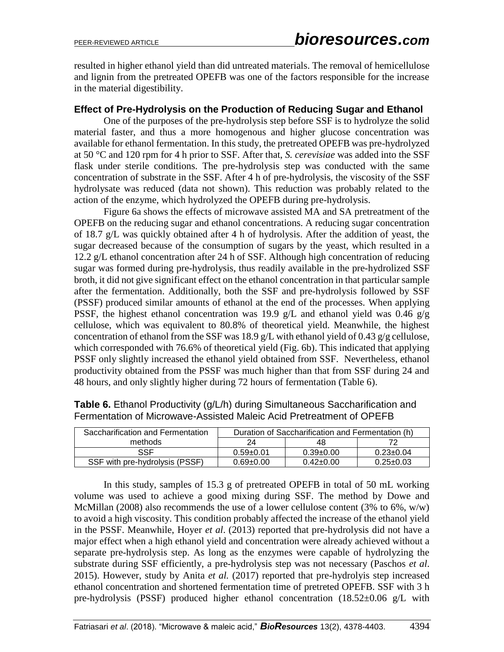resulted in higher ethanol yield than did untreated materials. The removal of hemicellulose and lignin from the pretreated OPEFB was one of the factors responsible for the increase in the material digestibility.

## **Effect of Pre-Hydrolysis on the Production of Reducing Sugar and Ethanol**

One of the purposes of the pre-hydrolysis step before SSF is to hydrolyze the solid material faster, and thus a more homogenous and higher glucose concentration was available for ethanol fermentation. In this study, the pretreated OPEFB was pre-hydrolyzed at 50 °C and 120 rpm for 4 h prior to SSF. After that, *S. cerevisiae* was added into the SSF flask under sterile conditions. The pre-hydrolysis step was conducted with the same concentration of substrate in the SSF. After 4 h of pre-hydrolysis, the viscosity of the SSF hydrolysate was reduced (data not shown). This reduction was probably related to the action of the enzyme, which hydrolyzed the OPEFB during pre-hydrolysis.

Figure 6a shows the effects of microwave assisted MA and SA pretreatment of the OPEFB on the reducing sugar and ethanol concentrations. A reducing sugar concentration of 18.7 g/L was quickly obtained after 4 h of hydrolysis. After the addition of yeast, the sugar decreased because of the consumption of sugars by the yeast, which resulted in a 12.2 g/L ethanol concentration after 24 h of SSF. Although high concentration of reducing sugar was formed during pre-hydrolysis, thus readily available in the pre-hydrolized SSF broth, it did not give significant effect on the ethanol concentration in that particular sample after the fermentation. Additionally, both the SSF and pre-hydrolysis followed by SSF (PSSF) produced similar amounts of ethanol at the end of the processes. When applying PSSF, the highest ethanol concentration was 19.9 g/L and ethanol yield was 0.46 g/g cellulose, which was equivalent to 80.8% of theoretical yield. Meanwhile, the highest concentration of ethanol from the SSF was 18.9 g/L with ethanol yield of 0.43 g/g cellulose, which corresponded with 76.6% of theoretical yield (Fig. 6b). This indicated that applying PSSF only slightly increased the ethanol yield obtained from SSF. Nevertheless, ethanol productivity obtained from the PSSF was much higher than that from SSF during 24 and 48 hours, and only slightly higher during 72 hours of fermentation (Table 6).

| Saccharification and Fermentation | Duration of Saccharification and Fermentation (h) |                 |                 |  |  |
|-----------------------------------|---------------------------------------------------|-----------------|-----------------|--|--|
| methods                           | 24.                                               | 48              |                 |  |  |
| SSE                               | $0.59 + 0.01$                                     | $0.39 \pm 0.00$ | $0.23 \pm 0.04$ |  |  |
| SSF with pre-hydrolysis (PSSF)    | $0.69 + 0.00$                                     | $0.42 \pm 0.00$ | $0.25 \pm 0.03$ |  |  |

**Table 6.** Ethanol Productivity (g/L/h) during Simultaneous Saccharification and Fermentation of Microwave-Assisted Maleic Acid Pretreatment of OPEFB

In this study, samples of 15.3 g of pretreated OPEFB in total of 50 mL working volume was used to achieve a good mixing during SSF. The method by Dowe and McMillan (2008) also recommends the use of a lower cellulose content (3% to 6%, w/w) to avoid a high viscosity. This condition probably affected the increase of the ethanol yield in the PSSF. Meanwhile, Hoyer *et al*. (2013) reported that pre-hydrolysis did not have a major effect when a high ethanol yield and concentration were already achieved without a separate pre-hydrolysis step. As long as the enzymes were capable of hydrolyzing the substrate during SSF efficiently, a pre-hydrolysis step was not necessary (Paschos *et al*. 2015). However, study by Anita *et al.* (2017) reported that pre-hydrolyis step increased ethanol concentration and shortened fermentation time of pretreted OPEFB. SSF with 3 h pre-hydrolysis (PSSF) produced higher ethanol concentration (18.52±0.06 g/L with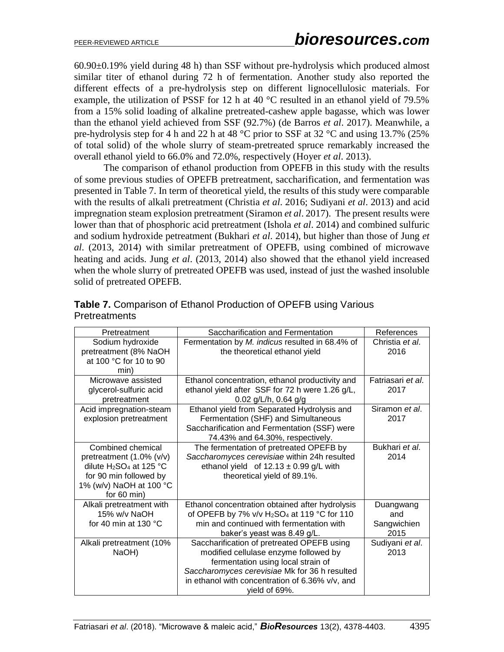60.90±0.19% yield during 48 h) than SSF without pre-hydrolysis which produced almost similar titer of ethanol during 72 h of fermentation. Another study also reported the different effects of a pre-hydrolysis step on different lignocellulosic materials. For example, the utilization of PSSF for 12 h at 40 °C resulted in an ethanol yield of 79.5% from a 15% solid loading of alkaline pretreated-cashew apple bagasse, which was lower than the ethanol yield achieved from SSF (92.7%) (de Barros *et al*. 2017). Meanwhile, a pre-hydrolysis step for 4 h and 22 h at 48 °C prior to SSF at 32 °C and using 13.7% (25% of total solid) of the whole slurry of steam-pretreated spruce remarkably increased the overall ethanol yield to 66.0% and 72.0%, respectively (Hoyer *et al*. 2013).

The comparison of ethanol production from OPEFB in this study with the results of some previous studies of OPEFB pretreatment, saccharification, and fermentation was presented in Table 7. In term of theoretical yield, the results of this study were comparable with the results of alkali pretreatment (Christia *et al*. 2016; Sudiyani *et al*. 2013) and acid impregnation steam explosion pretreatment (Siramon *et al*. 2017). The present results were lower than that of phosphoric acid pretreatment (Ishola *et al*. 2014) and combined sulfuric and sodium hydroxide petreatment (Bukhari *et al*. 2014), but higher than those of Jung *et al*. (2013, 2014) with similar pretreatment of OPEFB, using combined of microwave heating and acids. Jung *et al*. (2013, 2014) also showed that the ethanol yield increased when the whole slurry of pretreated OPEFB was used, instead of just the washed insoluble solid of pretreated OPEFB.

| Pretreatment                                    | Saccharification and Fermentation               | References        |
|-------------------------------------------------|-------------------------------------------------|-------------------|
| Sodium hydroxide                                | Fermentation by M. indicus resulted in 68.4% of | Christia et al.   |
| pretreatment (8% NaOH                           | the theoretical ethanol yield                   | 2016              |
| at 100 °C for 10 to 90                          |                                                 |                   |
| min)                                            |                                                 |                   |
| Microwave assisted                              | Ethanol concentration, ethanol productivity and | Fatriasari et al. |
| glycerol-sulfuric acid                          | ethanol yield after SSF for 72 h were 1.26 g/L, | 2017              |
| pretreatment                                    | 0.02 g/L/h, 0.64 g/g                            |                   |
| Acid impregnation-steam                         | Ethanol yield from Separated Hydrolysis and     | Siramon et al.    |
| explosion pretreatment                          | Fermentation (SHF) and Simultaneous             | 2017              |
|                                                 | Saccharification and Fermentation (SSF) were    |                   |
|                                                 | 74.43% and 64.30%, respectively.                |                   |
| Combined chemical                               | The fermentation of pretreated OPEFB by         | Bukhari et al.    |
| pretreatment (1.0% (v/v)                        | Saccharomyces cerevisiae within 24h resulted    | 2014              |
| dilute H <sub>2</sub> SO <sub>4</sub> at 125 °C | ethanol yield of $12.13 \pm 0.99$ g/L with      |                   |
| for 90 min followed by                          | theoretical yield of 89.1%.                     |                   |
| 1% (w/v) NaOH at 100 °C                         |                                                 |                   |
| for $60 \text{ min}$ )                          |                                                 |                   |
| Alkali pretreatment with                        | Ethanol concentration obtained after hydrolysis | Duangwang         |
| 15% w/v NaOH                                    | of OPEFB by 7% v/v $H_2SO_4$ at 119 °C for 110  | and               |
| for 40 min at 130 $^{\circ}$ C                  | min and continued with fermentation with        | Sangwichien       |
|                                                 | baker's yeast was 8.49 g/L.                     | 2015              |
| Alkali pretreatment (10%                        | Saccharification of pretreated OPEFB using      | Sudiyani et al.   |
| NaOH)                                           | modified cellulase enzyme followed by           | 2013              |
|                                                 | fermentation using local strain of              |                   |
|                                                 | Saccharomyces cerevisiae Mk for 36 h resulted   |                   |
|                                                 | in ethanol with concentration of 6.36% v/v, and |                   |
|                                                 | vield of 69%.                                   |                   |

## **Table 7.** Comparison of Ethanol Production of OPEFB using Various Pretreatments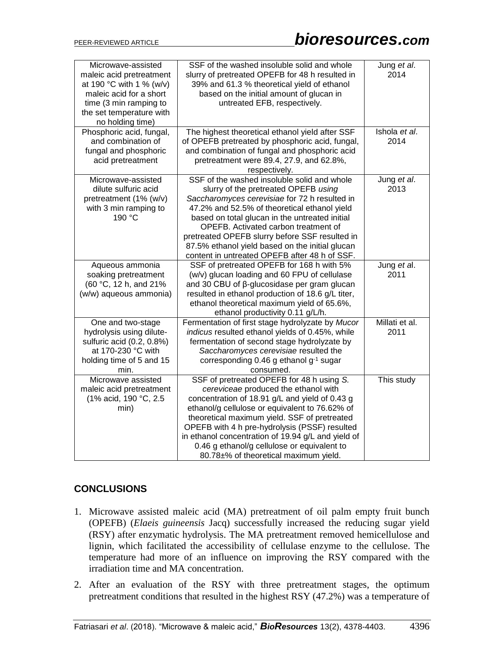| Microwave-assisted<br>maleic acid pretreatment<br>at 190 °C with 1 % (w/v)<br>maleic acid for a short<br>time (3 min ramping to<br>the set temperature with<br>no holding time) | SSF of the washed insoluble solid and whole<br>slurry of pretreated OPEFB for 48 h resulted in<br>39% and 61.3 % theoretical yield of ethanol<br>based on the initial amount of glucan in<br>untreated EFB, respectively.                                                                                                                                                                                                            | Jung et al.<br>2014    |
|---------------------------------------------------------------------------------------------------------------------------------------------------------------------------------|--------------------------------------------------------------------------------------------------------------------------------------------------------------------------------------------------------------------------------------------------------------------------------------------------------------------------------------------------------------------------------------------------------------------------------------|------------------------|
| Phosphoric acid, fungal,<br>and combination of<br>fungal and phosphoric<br>acid pretreatment                                                                                    | The highest theoretical ethanol yield after SSF<br>of OPEFB pretreated by phosphoric acid, fungal,<br>and combination of fungal and phosphoric acid<br>pretreatment were 89.4, 27.9, and 62.8%,<br>respectively.                                                                                                                                                                                                                     | Ishola et al.<br>2014  |
| Microwave-assisted<br>dilute sulfuric acid<br>pretreatment (1% (w/v)<br>with 3 min ramping to<br>190 °C                                                                         | SSF of the washed insoluble solid and whole<br>slurry of the pretreated OPEFB using<br>Saccharomyces cerevisiae for 72 h resulted in<br>47.2% and 52.5% of theoretical ethanol yield<br>based on total glucan in the untreated initial<br>OPEFB. Activated carbon treatment of<br>pretreated OPEFB slurry before SSF resulted in<br>87.5% ethanol yield based on the initial glucan<br>content in untreated OPEFB after 48 h of SSF. | Jung et al.<br>2013    |
| Aqueous ammonia<br>soaking pretreatment<br>(60 °C, 12 h, and 21%<br>(w/w) aqueous ammonia)                                                                                      | SSF of pretreated OPEFB for 168 h with 5%<br>(w/v) glucan loading and 60 FPU of cellulase<br>and 30 CBU of β-glucosidase per gram glucan<br>resulted in ethanol production of 18.6 g/L titer,<br>ethanol theoretical maximum yield of 65.6%,<br>ethanol productivity 0.11 g/L/h.                                                                                                                                                     | Jung et al.<br>2011    |
| One and two-stage<br>hydrolysis using dilute-<br>sulfuric acid (0.2, 0.8%)<br>at 170-230 °C with<br>holding time of 5 and 15<br>min.                                            | Fermentation of first stage hydrolyzate by Mucor<br>indicus resulted ethanol yields of 0.45%, while<br>fermentation of second stage hydrolyzate by<br>Saccharomyces cerevisiae resulted the<br>corresponding 0.46 g ethanol g-1 sugar<br>consumed.                                                                                                                                                                                   | Millati et al.<br>2011 |
| Microwave assisted<br>maleic acid pretreatment<br>(1% acid, 190 °C, 2.5<br>min)                                                                                                 | SSF of pretreated OPEFB for 48 h using S.<br>cereviceae produced the ethanol with<br>concentration of 18.91 g/L and yield of 0.43 g<br>ethanol/g cellulose or equivalent to 76.62% of<br>theoretical maximum yield. SSF of pretreated<br>OPEFB with 4 h pre-hydrolysis (PSSF) resulted<br>in ethanol concentration of 19.94 g/L and yield of<br>0.46 g ethanol/g cellulose or equivalent to<br>80.78±% of theoretical maximum yield. | This study             |

# **CONCLUSIONS**

- 1. Microwave assisted maleic acid (MA) pretreatment of oil palm empty fruit bunch (OPEFB) (*Elaeis guineensis* Jacq) successfully increased the reducing sugar yield (RSY) after enzymatic hydrolysis. The MA pretreatment removed hemicellulose and lignin, which facilitated the accessibility of cellulase enzyme to the cellulose. The temperature had more of an influence on improving the RSY compared with the irradiation time and MA concentration.
- 2. After an evaluation of the RSY with three pretreatment stages, the optimum pretreatment conditions that resulted in the highest RSY (47.2%) was a temperature of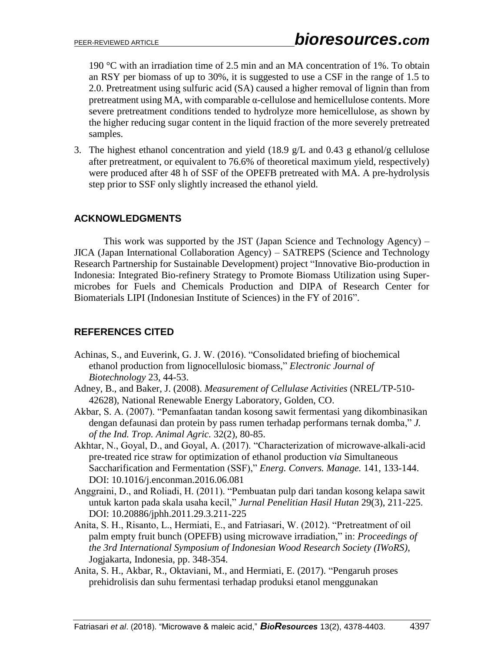190 °C with an irradiation time of 2.5 min and an MA concentration of 1%. To obtain an RSY per biomass of up to 30%, it is suggested to use a CSF in the range of 1.5 to 2.0. Pretreatment using sulfuric acid (SA) caused a higher removal of lignin than from pretreatment using MA, with comparable  $\alpha$ -cellulose and hemicellulose contents. More severe pretreatment conditions tended to hydrolyze more hemicellulose, as shown by the higher reducing sugar content in the liquid fraction of the more severely pretreated samples.

3. The highest ethanol concentration and yield (18.9 g/L and 0.43 g ethanol/g cellulose after pretreatment, or equivalent to 76.6% of theoretical maximum yield, respectively) were produced after 48 h of SSF of the OPEFB pretreated with MA. A pre-hydrolysis step prior to SSF only slightly increased the ethanol yield.

## **ACKNOWLEDGMENTS**

This work was supported by the JST (Japan Science and Technology Agency) – JICA (Japan International Collaboration Agency) – SATREPS (Science and Technology Research Partnership for Sustainable Development) project "Innovative Bio-production in Indonesia: Integrated Bio-refinery Strategy to Promote Biomass Utilization using Supermicrobes for Fuels and Chemicals Production and DIPA of Research Center for Biomaterials LIPI (Indonesian Institute of Sciences) in the FY of 2016".

# **REFERENCES CITED**

- Achinas, S., and Euverink, G. J. W. (2016). "Consolidated briefing of biochemical ethanol production from lignocellulosic biomass," *Electronic Journal of Biotechnology* 23, 44-53.
- Adney, B., and Baker, J. (2008). *Measurement of Cellulase Activities* (NREL/TP-510- 42628), National Renewable Energy Laboratory, Golden, CO.
- Akbar, S. A. (2007). "Pemanfaatan tandan kosong sawit fermentasi yang dikombinasikan dengan defaunasi dan protein by pass rumen terhadap performans ternak domba," *J. of the Ind. Trop. Animal Agric.* 32(2), 80-85.
- Akhtar, N., Goyal, D., and Goyal, A. (2017). "Characterization of microwave-alkali-acid pre-treated rice straw for optimization of ethanol production v*ia* Simultaneous Saccharification and Fermentation (SSF)," *Energ. Convers. Manage.* 141, 133-144. DOI: 10.1016/j.enconman.2016.06.081
- Anggraini, D., and Roliadi, H. (2011). "Pembuatan pulp dari tandan kosong kelapa sawit untuk karton pada skala usaha kecil," *Jurnal Penelitian Hasil Hutan* 29(3), 211-225. DOI: 10.20886/jphh.2011.29.3.211-225
- Anita, S. H., Risanto, L., Hermiati, E., and Fatriasari, W. (2012). "Pretreatment of oil palm empty fruit bunch (OPEFB) using microwave irradiation," in: *Proceedings of the 3rd International Symposium of Indonesian Wood Research Society (IWoRS)*, Jogjakarta, Indonesia, pp. 348-354.
- Anita, S. H., Akbar, R., Oktaviani, M., and Hermiati, E. (2017). "Pengaruh proses prehidrolisis dan suhu fermentasi terhadap produksi etanol menggunakan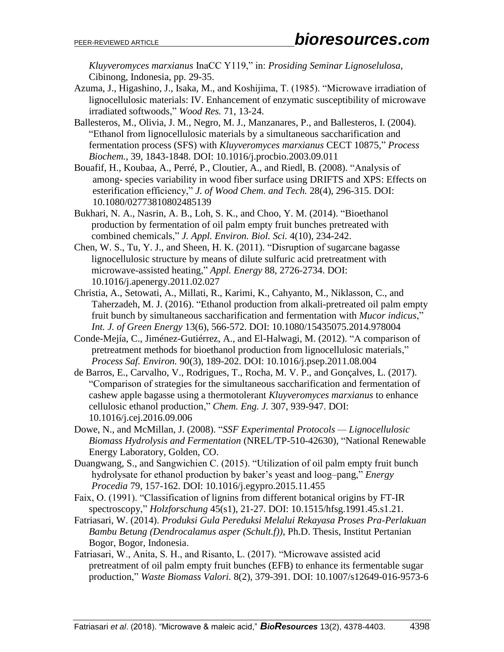*Kluyveromyces marxianus* InaCC Y119," in: *Prosiding Seminar Lignoselulosa*, Cibinong, Indonesia, pp. 29-35.

- Azuma, J., Higashino, J., Isaka, M., and Koshijima, T. (1985). "Microwave irradiation of lignocellulosic materials: IV. Enhancement of enzymatic susceptibility of microwave irradiated softwoods," *Wood Res.* 71, 13-24.
- Ballesteros, M., Olivia, J. M., Negro, M. J., Manzanares, P., and Ballesteros, I. (2004). "Ethanol from lignocellulosic materials by a simultaneous saccharification and fermentation process (SFS) with *Kluyveromyces marxianus* CECT 10875," *Process Biochem.*, 39, 1843-1848. DOI: [10.1016/j.procbio.2003.09.011](https://doi.org/10.1016/j.procbio.2003.09.011)
- Bouafif, H., Koubaa, A., Perré, P., Cloutier, A., and Riedl, B. (2008). "Analysis of among- species variability in wood fiber surface using DRIFTS and XPS: Effects on esterification efficiency," *J. of Wood Chem. and Tech.* 28(4), 296-315. DOI: [10.1080/02773810802485139](https://doi.org/10.1080/02773810802485139)
- Bukhari, N. A., Nasrin, A. B., Loh, S. K., and Choo, Y. M. (2014). "Bioethanol production by fermentation of oil palm empty fruit bunches pretreated with combined chemicals," *J. Appl. Environ. Biol. Sci.* 4(10), 234-242.
- Chen, W. S., Tu, Y. J., and Sheen, H. K. (2011). "Disruption of sugarcane bagasse lignocellulosic structure by means of dilute sulfuric acid pretreatment with microwave-assisted heating," *Appl. Energy* 88, 2726-2734. DOI: [10.1016/j.apenergy.2011.02.027](https://doi.org/10.1016/j.apenergy.2011.02.027)
- Christia, A., Setowati, A., Millati, R., Karimi, K., Cahyanto, M., [Niklasson,](http://publications.lib.chalmers.se/rweb/?personID=13185) C., and Taherzadeh, M. J. (2016). "Ethanol production from alkali-pretreated oil palm empty fruit bunch by simultaneous saccharification and fermentation with *Mucor indicus*," *Int. J. of Green Energy* 13(6), 566-572. DOI: [10.1080/15435075.2014.978004](https://doi.org/10.1080/15435075.2014.978004)
- Conde-Mejía, C., Jiménez-Gutiérrez, A., and El-Halwagi, M. (2012). "A comparison of pretreatment methods for bioethanol production from lignocellulosic materials," *Process Saf. Environ.* 90(3), 189-202. DOI: 10.1016/j.psep.2011.08.004
- de Barros, E., Carvalho, V., Rodrigues, T., Rocha, M. V. P., and Gonçalves, L. (2017). "Comparison of strategies for the simultaneous saccharification and fermentation of cashew apple bagasse using a thermotolerant *Kluyveromyces marxianus* to enhance cellulosic ethanol production," *Chem. Eng. J.* 307, 939-947. DOI: 10.1016/j.cej.2016.09.006
- Dowe, N., and McMillan, J. (2008). "*SSF Experimental Protocols — Lignocellulosic Biomass Hydrolysis and Fermentation* (NREL/TP-510-42630), "National Renewable Energy Laboratory, Golden, CO.
- Duangwang, S., and Sangwichien C. (2015). "Utilization of oil palm empty fruit bunch hydrolysate for ethanol production by baker's yeast and loog–pang," *Energy Procedia* 79, 157-162. DOI: [10.1016/j.egypro.2015.11.455](https://doi.org/10.1016/j.egypro.2015.11.455)
- Faix, O. (1991). "Classification of lignins from different botanical origins by FT-IR spectroscopy," *Holzforschung* 45(s1), 21-27. DOI: 10.1515/hfsg.1991.45.s1.21.
- Fatriasari, W. (2014). *Produksi Gula Pereduksi Melalui Rekayasa Proses Pra-Perlakuan Bambu Betung (Dendrocalamus asper (Schult.f))*, Ph.D. Thesis, Institut Pertanian Bogor, Bogor, Indonesia.
- Fatriasari, W., Anita, S. H., and Risanto, L. (2017). "Microwave assisted acid pretreatment of oil palm empty fruit bunches (EFB) to enhance its fermentable sugar production," *Waste Biomass Valori.* 8(2), 379-391. DOI: 10.1007/s12649-016-9573-6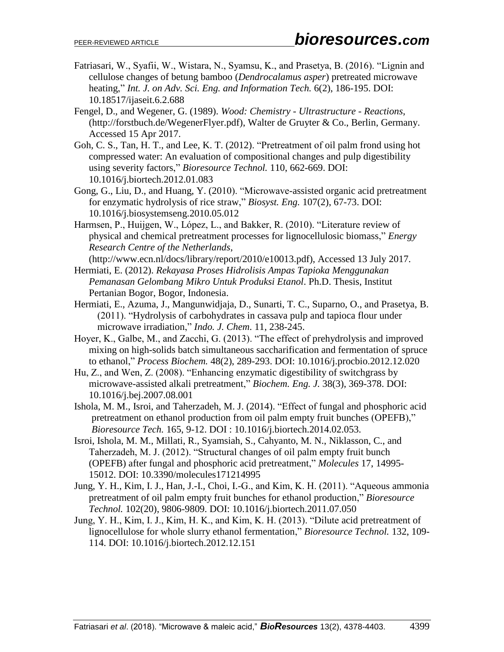- Fatriasari, W., Syafii, W., Wistara, N., Syamsu, K., and Prasetya, B. (2016). "Lignin and cellulose changes of betung bamboo (*Dendrocalamus asper*) pretreated microwave heating," *Int. J. on Adv. Sci. Eng. and Information Tech.* 6(2), 186-195. DOI: 10.18517/ijaseit.6.2.688
- Fengel, D., and Wegener, G. (1989). *Wood: Chemistry - Ultrastructure - Reactions*, (http://forstbuch.de/WegenerFlyer.pdf), Walter de Gruyter & Co., Berlin, Germany. Accessed 15 Apr 2017.
- Goh, C. S., Tan, H. T., and Lee, K. T. (2012). "Pretreatment of oil palm frond using hot compressed water: An evaluation of compositional changes and pulp digestibility using severity factors," *Bioresource Technol.* 110, 662-669. DOI: 10.1016/j.biortech.2012.01.083
- Gong, G., Liu, D., and Huang, Y. (2010). "Microwave-assisted organic acid pretreatment for enzymatic hydrolysis of rice straw," *Biosyst. Eng.* 107(2), 67-73. DOI: 10.1016/j.biosystemseng.2010.05.012
- Harmsen, P., Huijgen, W., López, L., and Bakker, R. (2010). "Literature review of physical and chemical pretreatment processes for lignocellulosic biomass," *Energy Research Centre of the Netherlands*,

(http://www.ecn.nl/docs/library/report/2010/e10013.pdf), Accessed 13 July 2017.

- Hermiati, E. (2012). *Rekayasa Proses Hidrolisis Ampas Tapioka Menggunakan Pemanasan Gelombang Mikro Untuk Produksi Etanol*. Ph.D. Thesis, Institut Pertanian Bogor, Bogor, Indonesia.
- Hermiati, E., Azuma, J., Mangunwidjaja, D., Sunarti, T. C., Suparno, O., and Prasetya, B. (2011). "Hydrolysis of carbohydrates in cassava pulp and tapioca flour under microwave irradiation," *Indo. J. Chem*. 11, 238-245.
- Hoyer, K., Galbe, M., and Zacchi, G. (2013). "The effect of prehydrolysis and improved mixing on high-solids batch simultaneous saccharification and fermentation of spruce to ethanol," *Process Biochem.* 48(2), 289-293. DOI: 10.1016/j.procbio.2012.12.020
- Hu, Z., and Wen, Z. (2008). "Enhancing enzymatic digestibility of switchgrass by microwave-assisted alkali pretreatment," *Biochem. Eng. J.* 38(3), 369-378. DOI: 10.1016/j.bej.2007.08.001
- Ishola, M. [M., Isroi, a](http://www.sciencedirect.com/science/article/pii/S0960852414002247#!)nd Taherzadeh, M. J. (2014). "Effect of fungal and phosphoric acid pretreatment on ethanol production from oil palm empty fruit bunches (OPEFB)," *Bioresource Tech.* [165,](http://www.sciencedirect.com/science/journal/09608524/165/supp/C) 9-12. DOI : 10.1016/j.biortech.2014.02.053.
- Isroi, Ishola, M. M., Millati, R., Syamsiah, S., Cahyanto, M. N., Niklasson, C., and Taherzadeh, M. J. (2012). "Structural changes of oil palm empty fruit bunch (OPEFB) after fungal and phosphoric acid pretreatment," *Molecules* 17, 14995- 15012. DOI: 10.3390/molecules171214995
- Jung, Y. H., Kim, I. J., Han, J.-I., Choi, I.-G., and Kim, K. H. (2011). "Aqueous ammonia pretreatment of oil palm empty fruit bunches for ethanol production," *Bioresource Technol.* 102(20), 9806-9809. DOI: 10.1016/j.biortech.2011.07.050
- Jung, Y. H., Kim, I. J., Kim, H. K., and Kim, K. H. (2013). "Dilute acid pretreatment of lignocellulose for whole slurry ethanol fermentation," *Bioresource Technol.* 132, 109- 114. DOI: 10.1016/j.biortech.2012.12.151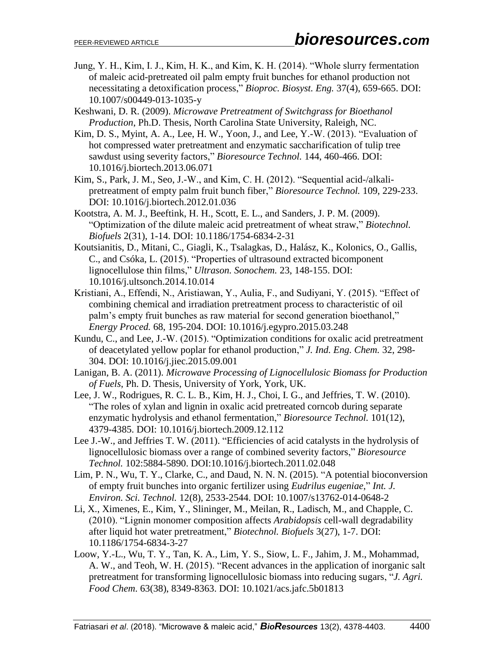- Jung, Y. H., Kim, I. J., Kim, H. K., and Kim, K. H. (2014). "Whole slurry fermentation of maleic acid-pretreated oil palm empty fruit bunches for ethanol production not necessitating a detoxification process," *Bioproc. Biosyst. Eng.* 37(4), 659-665. DOI: 10.1007/s00449-013-1035-y
- Keshwani, D. R. (2009). *Microwave Pretreatment of Switchgrass for Bioethanol Production*, Ph.D. Thesis, North Carolina State University, Raleigh, NC.
- Kim, D. S., Myint, A. A., Lee, H. W., Yoon, J., and Lee, Y.-W. (2013). "Evaluation of hot compressed water pretreatment and enzymatic saccharification of tulip tree sawdust using severity factors," *Bioresource Technol.* 144, 460-466. DOI: 10.1016/j.biortech.2013.06.071
- Kim, S., Park, J. M., Seo, J.-W., and Kim, C. H. (2012). "Sequential acid-/alkalipretreatment of empty palm fruit bunch fiber," *Bioresource Technol.* 109, 229-233. DOI: 10.1016/j.biortech.2012.01.036
- Kootstra, A. M. J., Beeftink, H. H., Scott, E. L., and Sanders, J. P. M. (2009). "Optimization of the dilute maleic acid pretreatment of wheat straw," *Biotechnol. Biofuels* 2(31), 1-14. DOI: 10.1186/1754-6834-2-31
- Koutsianitis, D., Mitani, C., Giagli, K., Tsalagkas, D., Halász, K., Kolonics, O., Gallis, C., and Csóka, L. (2015). "Properties of ultrasound extracted bicomponent lignocellulose thin films," *Ultrason. Sonochem.* 23, 148-155. DOI: 10.1016/j.ultsonch.2014.10.014
- Kristiani, A., Effendi, N., Aristiawan, Y., Aulia, F., and Sudiyani, Y. (2015). "Effect of combining chemical and irradiation pretreatment process to characteristic of oil palm's empty fruit bunches as raw material for second generation bioethanol," *Energy Proced.* 68, 195-204. DOI: 10.1016/j.egypro.2015.03.248
- Kundu, C., and Lee, J.-W. (2015). "Optimization conditions for oxalic acid pretreatment of deacetylated yellow poplar for ethanol production," *J. Ind. Eng. Chem.* 32, 298- 304. DOI: 10.1016/j.jiec.2015.09.001
- Lanigan, B. A. (2011). *Microwave Processing of Lignocellulosic Biomass for Production of Fuels*, Ph. D. Thesis, University of York, York, UK.
- Lee, J. W., Rodrigues, R. C. L. B., Kim, H. J., Choi, I. G., and Jeffries, T. W. (2010). "The roles of xylan and lignin in oxalic acid pretreated corncob during separate enzymatic hydrolysis and ethanol fermentation," *Bioresource Technol.* 101(12), 4379-4385. DOI: 10.1016/j.biortech.2009.12.112
- Lee J.-W., and Jeffries T. W. (2011). "Efficiencies of acid catalysts in the hydrolysis of lignocellulosic biomass over a range of combined severity factors," *Bioresource Technol.* 102:5884-5890. DOI:10.1016/j.biortech.2011.02.048
- Lim, P. N., Wu, T. Y., Clarke, C., and Daud, N. N. N. (2015). "A potential bioconversion of empty fruit bunches into organic fertilizer using *Eudrilus eugeniae*," *Int. J. Environ. Sci. Technol.* 12(8), 2533-2544. DOI: 10.1007/s13762-014-0648-2
- Li, X., Ximenes, E., Kim, Y., Slininger, M., Meilan, R., Ladisch, M., and Chapple, C. (2010). "Lignin monomer composition affects *Arabidopsis* cell-wall degradability after liquid hot water pretreatment," *Biotechnol. Biofuels* 3(27), 1-7. DOI: 10.1186/1754-6834-3-27
- Loow, Y.-L., Wu, T. Y., Tan, K. A., Lim, Y. S., Siow, L. F., Jahim, J. M., Mohammad, A. W., and Teoh, W. H. (2015). "Recent advances in the application of inorganic salt pretreatment for transforming lignocellulosic biomass into reducing sugars, "*J. Agri. Food Chem*. 63(38), 8349-8363. DOI: 10.1021/acs.jafc.5b01813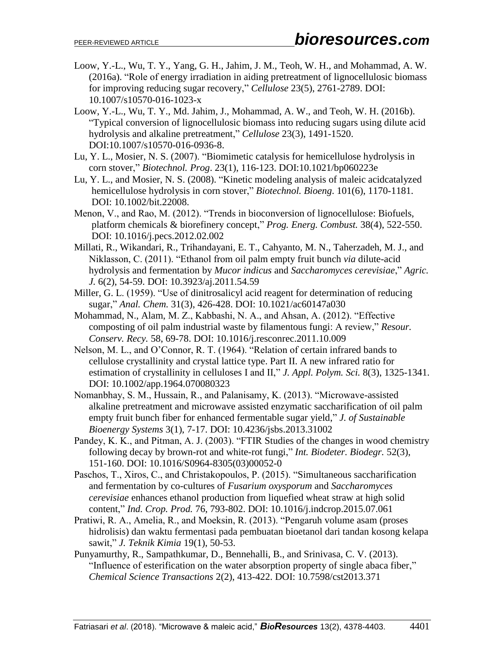- Loow, Y.-L., Wu, T. Y., Yang, G. H., Jahim, J. M., Teoh, W. H., and Mohammad, A. W. (2016a). "Role of energy irradiation in aiding pretreatment of lignocellulosic biomass for improving reducing sugar recovery," *Cellulose* 23(5), 2761-2789. DOI: 10.1007/s10570-016-1023-x
- Loow, Y.-L., Wu, T. Y., Md. Jahim, J., Mohammad, A. W., and Teoh, W. H. (2016b). "Typical conversion of lignocellulosic biomass into reducing sugars using dilute acid hydrolysis and alkaline pretreatment," *Cellulose* 23(3), 1491-1520. DOI:10.1007/s10570-016-0936-8.
- Lu, Y. L., Mosier, N. S. (2007). "Biomimetic catalysis for hemicellulose hydrolysis in corn stover," *Biotechnol. Prog*. 23(1), 116-123. DOI[:10.1021/bp060223e](https://doi.org/10.1021/bp060223e)
- Lu, Y. L., and Mosier, N. S. (2008). "Kinetic modeling analysis of maleic acidcatalyzed hemicellulose hydrolysis in corn stover," *Biotechnol. Bioeng*. 101(6), 1170-1181. DOI: 10.1002/bit.22008.
- Menon, V., and Rao, M. (2012). "Trends in bioconversion of lignocellulose: Biofuels, platform chemicals & biorefinery concept," *Prog. Energ. Combust.* 38(4), 522-550. DOI: 10.1016/j.pecs.2012.02.002
- Millati, R., Wikandari, R., Trihandayani, E. T., Cahyanto, M. N., Taherzadeh, M. J., and Niklasson, C. (2011). "Ethanol from oil palm empty fruit bunch *via* dilute-acid hydrolysis and fermentation by *Mucor indicus* and *Saccharomyces cerevisiae*," *Agric. J.* 6(2), 54-59. DOI: 10.3923/aj.2011.54.59
- Miller, G. L. (1959). "Use of dinitrosalicyl acid reagent for determination of reducing sugar," *Anal. Chem.* 31(3), 426-428. DOI: 10.1021/ac60147a030
- Mohammad, N., Alam, M. Z., Kabbashi, N. A., and Ahsan, A. (2012). "Effective composting of oil palm industrial waste by filamentous fungi: A review," *Resour. Conserv. Recy.* 58, 69-78. DOI: 10.1016/j.resconrec.2011.10.009
- Nelson, M. L., and O'Connor, R. T. (1964). "Relation of certain infrared bands to cellulose crystallinity and crystal lattice type. Part II. A new infrared ratio for estimation of crystallinity in celluloses I and II," *J. Appl. Polym. Sci.* 8(3), 1325-1341. DOI: 10.1002/app.1964.070080323
- Nomanbhay, S. M., Hussain, R., and Palanisamy, K. (2013). "Microwave-assisted alkaline pretreatment and microwave assisted enzymatic saccharification of oil palm empty fruit bunch fiber for enhanced fermentable sugar yield," *J. of Sustainable Bioenergy Systems* 3(1), 7-17. DOI: 10.4236/jsbs.2013.31002
- Pandey, K. K., and Pitman, A. J. (2003). "FTIR Studies of the changes in wood chemistry following decay by brown-rot and white-rot fungi," *Int. Biodeter. Biodegr.* 52(3), 151-160. DOI: 10.1016/S0964-8305(03)00052-0
- Paschos, T., Xiros, C., and Christakopoulos, P. (2015). "Simultaneous saccharification and fermentation by co-cultures of *Fusarium oxysporum* and *Saccharomyces cerevisiae* enhances ethanol production from liquefied wheat straw at high solid content," *Ind. Crop. Prod.* 76, 793-802. DOI: 10.1016/j.indcrop.2015.07.061
- Pratiwi, R. A., Amelia, R., and Moeksin, R. (2013). "Pengaruh volume asam (proses hidrolisis) dan waktu fermentasi pada pembuatan bioetanol dari tandan kosong kelapa sawit," *J. Teknik Kimia* 19(1), 50-53.
- Punyamurthy, R., Sampathkumar, D., Bennehalli, B., and Srinivasa, C. V. (2013). "Influence of esterification on the water absorption property of single abaca fiber," *Chemical Science Transactions* 2(2), 413-422. DOI: 10.7598/cst2013.371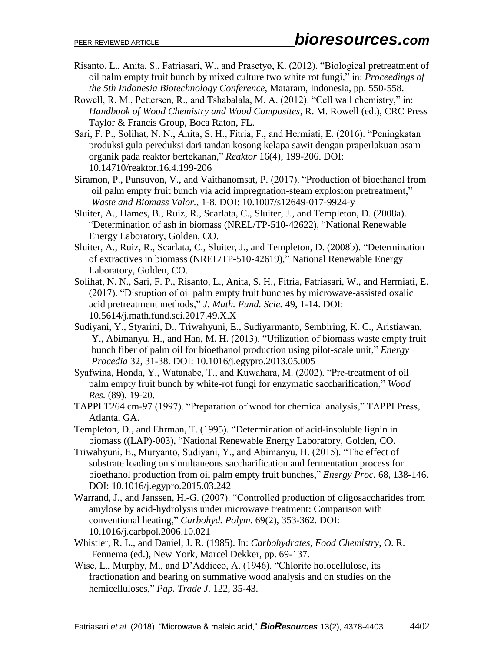- Risanto, L., Anita, S., Fatriasari, W., and Prasetyo, K. (2012). "Biological pretreatment of oil palm empty fruit bunch by mixed culture two white rot fungi," in: *Proceedings of the 5th Indonesia Biotechnology Conference*, Mataram, Indonesia, pp. 550-558.
- Rowell, R. M., Pettersen, R., and Tshabalala, M. A. (2012). "Cell wall chemistry," in: *Handbook of Wood Chemistry and Wood Composites*, R. M. Rowell (ed.), CRC Press Taylor & Francis Group, Boca Raton, FL.
- Sari, F. P., Solihat, N. N., Anita, S. H., Fitria, F., and Hermiati, E. (2016). "Peningkatan produksi gula pereduksi dari tandan kosong kelapa sawit dengan praperlakuan asam organik pada reaktor bertekanan," *Reaktor* 16(4), 199-206. DOI: 10.14710/reaktor.16.4.199-206
- Siramon, P., Punsuvon, V., and Vaithanomsat, P. (2017). "Production of bioethanol from oil palm empty fruit bunch via acid impregnation-steam explosion pretreatment," *Waste and Biomass Valor.*, 1-8. DOI: 10.1007/s12649-017-9924-y
- Sluiter, A., Hames, B., Ruiz, R., Scarlata, C., Sluiter, J., and Templeton, D. (2008a). "Determination of ash in biomass (NREL/TP-510-42622), "National Renewable Energy Laboratory, Golden, CO.
- Sluiter, A., Ruiz, R., Scarlata, C., Sluiter, J., and Templeton, D. (2008b). "Determination of extractives in biomass (NREL/TP-510-42619)," National Renewable Energy Laboratory, Golden, CO.
- Solihat, N. N., Sari, F. P., Risanto, L., Anita, S. H., Fitria, Fatriasari, W., and Hermiati, E. (2017). "Disruption of oil palm empty fruit bunches by microwave-assisted oxalic acid pretreatment methods," *J. Math. Fund. Scie.* 49, 1-14. DOI: 10.5614/j.math.fund.sci.2017.49.X.X
- Sudiyani, Y., Styarini, D., Triwahyuni, E., Sudiyarmanto, Sembiring, K. C., Aristiawan, Y., Abimanyu, H., and Han, M. H. (2013). "Utilization of biomass waste empty fruit bunch fiber of palm oil for bioethanol production using pilot-scale unit," *Energy Procedia* 32, 31-38. DOI: [10.1016/j.egypro.2013.05.005](https://doi.org/10.1016/j.egypro.2013.05.005)
- Syafwina, Honda, Y., Watanabe, T., and Kuwahara, M. (2002). "Pre-treatment of oil palm empty fruit bunch by white-rot fungi for enzymatic saccharification," *Wood Res.* (89), 19-20.
- TAPPI T264 cm-97 (1997). "Preparation of wood for chemical analysis," TAPPI Press, Atlanta, GA.
- Templeton, D., and Ehrman, T. (1995). "Determination of acid-insoluble lignin in biomass ((LAP)-003), "National Renewable Energy Laboratory, Golden, CO.
- Triwahyuni, E., Muryanto, Sudiyani, Y., and Abimanyu, H. (2015). "The effect of substrate loading on simultaneous saccharification and fermentation process for bioethanol production from oil palm empty fruit bunches," *Energy Proc.* 68, 138-146. DOI: 10.1016/j.egypro.2015.03.242
- Warrand, J., and Janssen, H.-G. (2007). "Controlled production of oligosaccharides from amylose by acid-hydrolysis under microwave treatment: Comparison with conventional heating," *Carbohyd. Polym.* 69(2), 353-362. DOI: 10.1016/j.carbpol.2006.10.021
- Whistler, R. L., and Daniel, J. R. (1985). In: *Carbohydrates*, *Food Chemistry*, O. R. Fennema (ed.), New York, Marcel Dekker, pp. 69-137.
- Wise, L., Murphy, M., and D'Addieco, A. (1946). "Chlorite holocellulose, its fractionation and bearing on summative wood analysis and on studies on the hemicelluloses," *Pap. Trade J*. 122, 35-43.